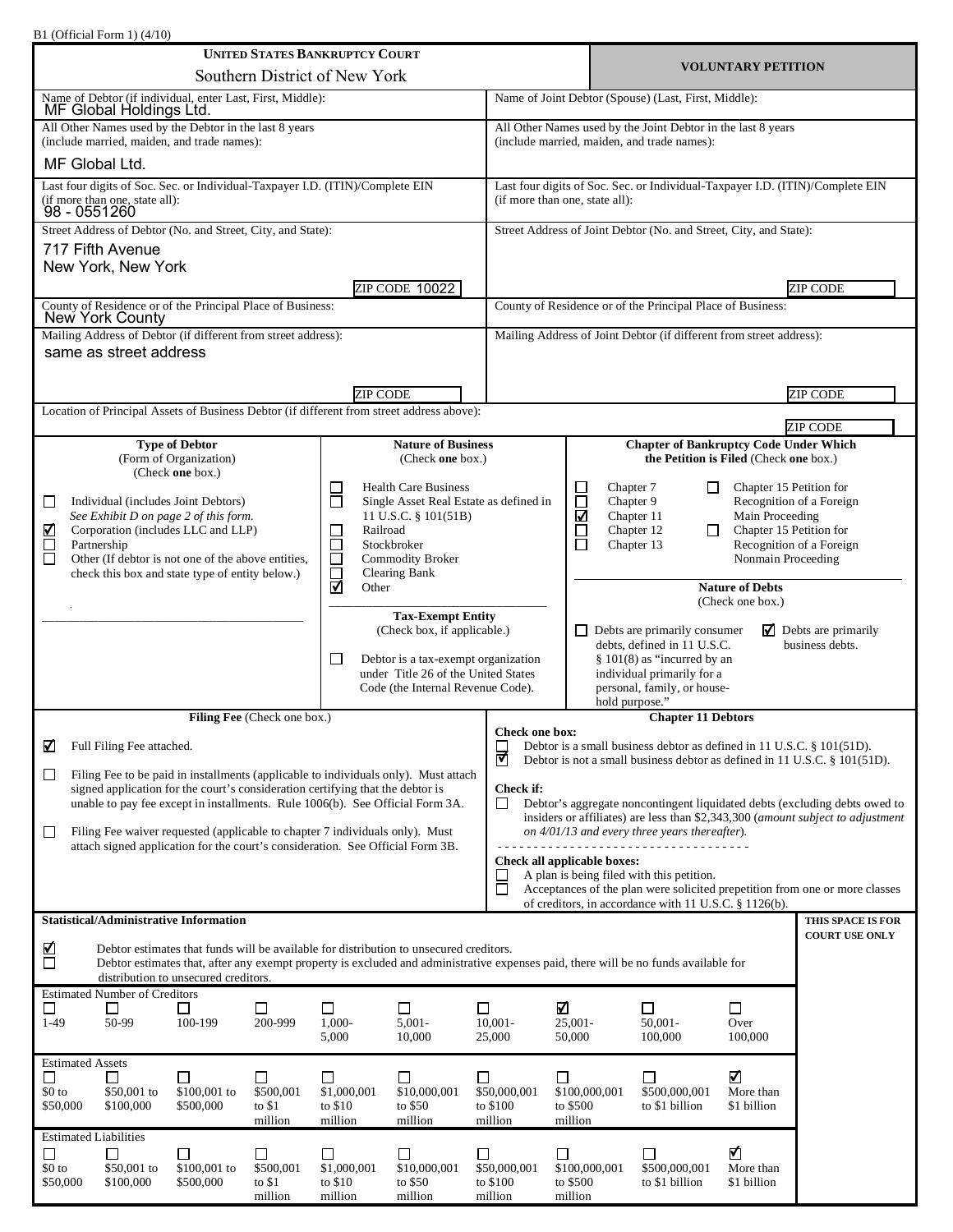| <b>UNITED STATES BANKRUPTCY COURT</b><br><b>VOLUNTARY PETITION</b><br>Southern District of New York<br>Name of Debtor (if individual, enter Last, First, Middle):<br>Name of Joint Debtor (Spouse) (Last, First, Middle):<br>MF Global Holdings Ltd.<br>All Other Names used by the Debtor in the last 8 years<br>All Other Names used by the Joint Debtor in the last 8 years<br>(include married, maiden, and trade names):<br>(include married, maiden, and trade names):<br>MF Global Ltd.<br>Last four digits of Soc. Sec. or Individual-Taxpayer I.D. (ITIN)/Complete EIN<br>Last four digits of Soc. Sec. or Individual-Taxpayer I.D. (ITIN)/Complete EIN<br>(if more than one, state all):<br>(if more than one, state all):<br>$98 - 0551260$<br>Street Address of Debtor (No. and Street, City, and State):<br>Street Address of Joint Debtor (No. and Street, City, and State):<br>717 Fifth Avenue<br>New York, New York<br><b>ZIP CODE 10022</b><br>ZIP CODE<br>County of Residence or of the Principal Place of Business:<br>County of Residence or of the Principal Place of Business:<br>New York County<br>Mailing Address of Debtor (if different from street address):<br>Mailing Address of Joint Debtor (if different from street address):<br>same as street address<br><b>ZIP CODE</b><br><b>ZIP CODE</b><br>Location of Principal Assets of Business Debtor (if different from street address above):<br><b>ZIP CODE</b><br><b>Type of Debtor</b><br><b>Nature of Business</b><br><b>Chapter of Bankruptcy Code Under Which</b><br>(Form of Organization)<br>the Petition is Filed (Check one box.)<br>(Check one box.)<br>(Check one box.)<br><b>Health Care Business</b><br>Chapter 7<br>Chapter 15 Petition for<br>$\Box$<br>$\Box$<br>UNU<br>Chapter 9<br>Recognition of a Foreign<br>Individual (includes Joint Debtors)<br>Single Asset Real Estate as defined in<br>ப<br>See Exhibit D on page 2 of this form.<br>11 U.S.C. § 101(51B)<br>Chapter 11<br>Main Proceeding<br>$\overline{\square}$<br>Corporation (includes LLC and LLP)<br>Railroad<br>Chapter 12<br>Chapter 15 Petition for<br>$\Box$<br>$\mathcal{L}_{\mathcal{A}}$<br>司<br>Recognition of a Foreign<br>Partnership<br>$\mathcal{L}_{\mathcal{A}}$<br>Stockbroker<br>Chapter 13<br>Ō<br>Other (If debtor is not one of the above entities,<br><b>Commodity Broker</b><br>Nonmain Proceeding<br>check this box and state type of entity below.)<br>⋤<br>Clearing Bank<br><b>Nature of Debts</b><br>Other<br>(Check one box.)<br><b>Tax-Exempt Entity</b><br>(Check box, if applicable.)<br>$\Box$ Debts are primarily consumer<br>$\nabla$ Debts are primarily<br>debts, defined in 11 U.S.C.<br>business debts.<br>§ 101(8) as "incurred by an<br>Debtor is a tax-exempt organization<br>⊔<br>under Title 26 of the United States<br>individual primarily for a<br>Code (the Internal Revenue Code).<br>personal, family, or house-<br>hold purpose."<br><b>Chapter 11 Debtors</b><br>Filing Fee (Check one box.)<br>Check one box:<br>☑<br>Full Filing Fee attached.<br>Debtor is a small business debtor as defined in 11 U.S.C. § 101(51D).<br>└<br>☑<br>Debtor is not a small business debtor as defined in 11 U.S.C. § 101(51D).<br>Filing Fee to be paid in installments (applicable to individuals only). Must attach<br>□<br>signed application for the court's consideration certifying that the debtor is<br>Check if:<br>unable to pay fee except in installments. Rule 1006(b). See Official Form 3A.<br>$\Box$<br>Debtor's aggregate noncontingent liquidated debts (excluding debts owed to<br>insiders or affiliates) are less than \$2,343,300 (amount subject to adjustment<br>□<br>Filing Fee waiver requested (applicable to chapter 7 individuals only). Must<br>on 4/01/13 and every three years thereafter).<br>attach signed application for the court's consideration. See Official Form 3B.<br><u>.</u><br>Check all applicable boxes:<br>A plan is being filed with this petition.<br>ப<br>$\Box$<br>Acceptances of the plan were solicited prepetition from one or more classes<br>of creditors, in accordance with 11 U.S.C. § 1126(b).<br><b>Statistical/Administrative Information</b><br>THIS SPACE IS FOR<br><b>COURT USE ONLY</b><br>M<br>□<br>Debtor estimates that funds will be available for distribution to unsecured creditors.<br>Debtor estimates that, after any exempt property is excluded and administrative expenses paid, there will be no funds available for<br>distribution to unsecured creditors.<br><b>Estimated Number of Creditors</b><br>✔<br>$\Box$<br>$\Box$<br>□<br>□<br>□<br>□<br>⊔<br>□<br>⊔<br>$1-49$<br>50-99<br>100-199<br>200-999<br>$1,000-$<br>$5,001-$<br>$10,001 -$<br>$25,001 -$<br>$50,001 -$<br>Over<br>5,000<br>100,000<br>10,000<br>25,000<br>50,000<br>100,000<br><b>Estimated Assets</b><br>☑<br>$\Box$<br>$\Box$<br>$\Box$<br>$\Box$<br>□<br>□<br>$\Box$<br>ப<br>ப<br>\$0 to<br>\$50,001 to<br>\$100,001 to<br>\$500,001<br>\$100,000,001<br>More than<br>\$1,000,001<br>\$10,000,001<br>\$50,000,001<br>\$500,000,001<br>\$50,000<br>\$100,000<br>\$500,000<br>to $$1$<br>to $$10$<br>to $$50$<br>to \$100<br>to \$500<br>to \$1 billion<br>\$1 billion<br>million<br>million<br>million<br>million<br>million<br><b>Estimated Liabilities</b><br>☑<br>$\Box$<br>$\Box$<br>□<br>$\Box$<br>□<br>□<br>□<br>⊔<br>⊔<br>\$0 to<br>\$100,001 to<br>\$500,001<br>\$10,000,001<br>\$500,000,001<br>More than<br>\$50,001 to<br>\$1,000,001<br>\$50,000,001<br>\$100,000,001<br>\$100,000<br>to \$10<br>\$1 billion<br>\$50,000<br>\$500,000<br>to $$1$<br>to $$50$<br>to \$100<br>to \$500<br>to \$1 billion<br>million<br>million<br>million<br>million<br>million | $B1$ (Official Form 1) $(4/10)$ |  |  |  |  |  |  |  |
|------------------------------------------------------------------------------------------------------------------------------------------------------------------------------------------------------------------------------------------------------------------------------------------------------------------------------------------------------------------------------------------------------------------------------------------------------------------------------------------------------------------------------------------------------------------------------------------------------------------------------------------------------------------------------------------------------------------------------------------------------------------------------------------------------------------------------------------------------------------------------------------------------------------------------------------------------------------------------------------------------------------------------------------------------------------------------------------------------------------------------------------------------------------------------------------------------------------------------------------------------------------------------------------------------------------------------------------------------------------------------------------------------------------------------------------------------------------------------------------------------------------------------------------------------------------------------------------------------------------------------------------------------------------------------------------------------------------------------------------------------------------------------------------------------------------------------------------------------------------------------------------------------------------------------------------------------------------------------------------------------------------------------------------------------------------------------------------------------------------------------------------------------------------------------------------------------------------------------------------------------------------------------------------------------------------------------------------------------------------------------------------------------------------------------------------------------------------------------------------------------------------------------------------------------------------------------------------------------------------------------------------------------------------------------------------------------------------------------------------------------------------------------------------------------------------------------------------------------------------------------------------------------------------------------------------------------------------------------------------------------------------------------------------------------------------------------------------------------------------------------------------------------------------------------------------------------------------------------------------------------------------------------------------------------------------------------------------------------------------------------------------------------------------------------------------------------------------------------------------------------------------------------------------------------------------------------------------------------------------------------------------------------------------------------------------------------------------------------------------------------------------------------------------------------------------------------------------------------------------------------------------------------------------------------------------------------------------------------------------------------------------------------------------------------------------------------------------------------------------------------------------------------------------------------------------------------------------------------------------------------------------------------------------------------------------------------------------------------------------------------------------------------------------------------------------------------------------------------------------------------------------------------------------------------------------------------------------------------------------------------------------------------------------------------------------------------------------------------------------------------------------------------------------------------------------------------------------------------------------------------------------------------------------------------------------------------------------------------------------------------------------------------------------------------------------------------------------------------------------------------------------------------------------------------------------------------------------------------------------------------------------------------------------------------------------------------------------------------------------------------------------------------------------------------------------------------------------------------------------------------------------------------------------------------------------------------------------------------------------------------------------------------------------------------------------------------------------------------------------|---------------------------------|--|--|--|--|--|--|--|
|                                                                                                                                                                                                                                                                                                                                                                                                                                                                                                                                                                                                                                                                                                                                                                                                                                                                                                                                                                                                                                                                                                                                                                                                                                                                                                                                                                                                                                                                                                                                                                                                                                                                                                                                                                                                                                                                                                                                                                                                                                                                                                                                                                                                                                                                                                                                                                                                                                                                                                                                                                                                                                                                                                                                                                                                                                                                                                                                                                                                                                                                                                                                                                                                                                                                                                                                                                                                                                                                                                                                                                                                                                                                                                                                                                                                                                                                                                                                                                                                                                                                                                                                                                                                                                                                                                                                                                                                                                                                                                                                                                                                                                                                                                                                                                                                                                                                                                                                                                                                                                                                                                                                                                                                                                                                                                                                                                                                                                                                                                                                                                                                                                                                                                                                          |                                 |  |  |  |  |  |  |  |
|                                                                                                                                                                                                                                                                                                                                                                                                                                                                                                                                                                                                                                                                                                                                                                                                                                                                                                                                                                                                                                                                                                                                                                                                                                                                                                                                                                                                                                                                                                                                                                                                                                                                                                                                                                                                                                                                                                                                                                                                                                                                                                                                                                                                                                                                                                                                                                                                                                                                                                                                                                                                                                                                                                                                                                                                                                                                                                                                                                                                                                                                                                                                                                                                                                                                                                                                                                                                                                                                                                                                                                                                                                                                                                                                                                                                                                                                                                                                                                                                                                                                                                                                                                                                                                                                                                                                                                                                                                                                                                                                                                                                                                                                                                                                                                                                                                                                                                                                                                                                                                                                                                                                                                                                                                                                                                                                                                                                                                                                                                                                                                                                                                                                                                                                          |                                 |  |  |  |  |  |  |  |
|                                                                                                                                                                                                                                                                                                                                                                                                                                                                                                                                                                                                                                                                                                                                                                                                                                                                                                                                                                                                                                                                                                                                                                                                                                                                                                                                                                                                                                                                                                                                                                                                                                                                                                                                                                                                                                                                                                                                                                                                                                                                                                                                                                                                                                                                                                                                                                                                                                                                                                                                                                                                                                                                                                                                                                                                                                                                                                                                                                                                                                                                                                                                                                                                                                                                                                                                                                                                                                                                                                                                                                                                                                                                                                                                                                                                                                                                                                                                                                                                                                                                                                                                                                                                                                                                                                                                                                                                                                                                                                                                                                                                                                                                                                                                                                                                                                                                                                                                                                                                                                                                                                                                                                                                                                                                                                                                                                                                                                                                                                                                                                                                                                                                                                                                          |                                 |  |  |  |  |  |  |  |
|                                                                                                                                                                                                                                                                                                                                                                                                                                                                                                                                                                                                                                                                                                                                                                                                                                                                                                                                                                                                                                                                                                                                                                                                                                                                                                                                                                                                                                                                                                                                                                                                                                                                                                                                                                                                                                                                                                                                                                                                                                                                                                                                                                                                                                                                                                                                                                                                                                                                                                                                                                                                                                                                                                                                                                                                                                                                                                                                                                                                                                                                                                                                                                                                                                                                                                                                                                                                                                                                                                                                                                                                                                                                                                                                                                                                                                                                                                                                                                                                                                                                                                                                                                                                                                                                                                                                                                                                                                                                                                                                                                                                                                                                                                                                                                                                                                                                                                                                                                                                                                                                                                                                                                                                                                                                                                                                                                                                                                                                                                                                                                                                                                                                                                                                          |                                 |  |  |  |  |  |  |  |
|                                                                                                                                                                                                                                                                                                                                                                                                                                                                                                                                                                                                                                                                                                                                                                                                                                                                                                                                                                                                                                                                                                                                                                                                                                                                                                                                                                                                                                                                                                                                                                                                                                                                                                                                                                                                                                                                                                                                                                                                                                                                                                                                                                                                                                                                                                                                                                                                                                                                                                                                                                                                                                                                                                                                                                                                                                                                                                                                                                                                                                                                                                                                                                                                                                                                                                                                                                                                                                                                                                                                                                                                                                                                                                                                                                                                                                                                                                                                                                                                                                                                                                                                                                                                                                                                                                                                                                                                                                                                                                                                                                                                                                                                                                                                                                                                                                                                                                                                                                                                                                                                                                                                                                                                                                                                                                                                                                                                                                                                                                                                                                                                                                                                                                                                          |                                 |  |  |  |  |  |  |  |
|                                                                                                                                                                                                                                                                                                                                                                                                                                                                                                                                                                                                                                                                                                                                                                                                                                                                                                                                                                                                                                                                                                                                                                                                                                                                                                                                                                                                                                                                                                                                                                                                                                                                                                                                                                                                                                                                                                                                                                                                                                                                                                                                                                                                                                                                                                                                                                                                                                                                                                                                                                                                                                                                                                                                                                                                                                                                                                                                                                                                                                                                                                                                                                                                                                                                                                                                                                                                                                                                                                                                                                                                                                                                                                                                                                                                                                                                                                                                                                                                                                                                                                                                                                                                                                                                                                                                                                                                                                                                                                                                                                                                                                                                                                                                                                                                                                                                                                                                                                                                                                                                                                                                                                                                                                                                                                                                                                                                                                                                                                                                                                                                                                                                                                                                          |                                 |  |  |  |  |  |  |  |
|                                                                                                                                                                                                                                                                                                                                                                                                                                                                                                                                                                                                                                                                                                                                                                                                                                                                                                                                                                                                                                                                                                                                                                                                                                                                                                                                                                                                                                                                                                                                                                                                                                                                                                                                                                                                                                                                                                                                                                                                                                                                                                                                                                                                                                                                                                                                                                                                                                                                                                                                                                                                                                                                                                                                                                                                                                                                                                                                                                                                                                                                                                                                                                                                                                                                                                                                                                                                                                                                                                                                                                                                                                                                                                                                                                                                                                                                                                                                                                                                                                                                                                                                                                                                                                                                                                                                                                                                                                                                                                                                                                                                                                                                                                                                                                                                                                                                                                                                                                                                                                                                                                                                                                                                                                                                                                                                                                                                                                                                                                                                                                                                                                                                                                                                          |                                 |  |  |  |  |  |  |  |
|                                                                                                                                                                                                                                                                                                                                                                                                                                                                                                                                                                                                                                                                                                                                                                                                                                                                                                                                                                                                                                                                                                                                                                                                                                                                                                                                                                                                                                                                                                                                                                                                                                                                                                                                                                                                                                                                                                                                                                                                                                                                                                                                                                                                                                                                                                                                                                                                                                                                                                                                                                                                                                                                                                                                                                                                                                                                                                                                                                                                                                                                                                                                                                                                                                                                                                                                                                                                                                                                                                                                                                                                                                                                                                                                                                                                                                                                                                                                                                                                                                                                                                                                                                                                                                                                                                                                                                                                                                                                                                                                                                                                                                                                                                                                                                                                                                                                                                                                                                                                                                                                                                                                                                                                                                                                                                                                                                                                                                                                                                                                                                                                                                                                                                                                          |                                 |  |  |  |  |  |  |  |
|                                                                                                                                                                                                                                                                                                                                                                                                                                                                                                                                                                                                                                                                                                                                                                                                                                                                                                                                                                                                                                                                                                                                                                                                                                                                                                                                                                                                                                                                                                                                                                                                                                                                                                                                                                                                                                                                                                                                                                                                                                                                                                                                                                                                                                                                                                                                                                                                                                                                                                                                                                                                                                                                                                                                                                                                                                                                                                                                                                                                                                                                                                                                                                                                                                                                                                                                                                                                                                                                                                                                                                                                                                                                                                                                                                                                                                                                                                                                                                                                                                                                                                                                                                                                                                                                                                                                                                                                                                                                                                                                                                                                                                                                                                                                                                                                                                                                                                                                                                                                                                                                                                                                                                                                                                                                                                                                                                                                                                                                                                                                                                                                                                                                                                                                          |                                 |  |  |  |  |  |  |  |
|                                                                                                                                                                                                                                                                                                                                                                                                                                                                                                                                                                                                                                                                                                                                                                                                                                                                                                                                                                                                                                                                                                                                                                                                                                                                                                                                                                                                                                                                                                                                                                                                                                                                                                                                                                                                                                                                                                                                                                                                                                                                                                                                                                                                                                                                                                                                                                                                                                                                                                                                                                                                                                                                                                                                                                                                                                                                                                                                                                                                                                                                                                                                                                                                                                                                                                                                                                                                                                                                                                                                                                                                                                                                                                                                                                                                                                                                                                                                                                                                                                                                                                                                                                                                                                                                                                                                                                                                                                                                                                                                                                                                                                                                                                                                                                                                                                                                                                                                                                                                                                                                                                                                                                                                                                                                                                                                                                                                                                                                                                                                                                                                                                                                                                                                          |                                 |  |  |  |  |  |  |  |
|                                                                                                                                                                                                                                                                                                                                                                                                                                                                                                                                                                                                                                                                                                                                                                                                                                                                                                                                                                                                                                                                                                                                                                                                                                                                                                                                                                                                                                                                                                                                                                                                                                                                                                                                                                                                                                                                                                                                                                                                                                                                                                                                                                                                                                                                                                                                                                                                                                                                                                                                                                                                                                                                                                                                                                                                                                                                                                                                                                                                                                                                                                                                                                                                                                                                                                                                                                                                                                                                                                                                                                                                                                                                                                                                                                                                                                                                                                                                                                                                                                                                                                                                                                                                                                                                                                                                                                                                                                                                                                                                                                                                                                                                                                                                                                                                                                                                                                                                                                                                                                                                                                                                                                                                                                                                                                                                                                                                                                                                                                                                                                                                                                                                                                                                          |                                 |  |  |  |  |  |  |  |
|                                                                                                                                                                                                                                                                                                                                                                                                                                                                                                                                                                                                                                                                                                                                                                                                                                                                                                                                                                                                                                                                                                                                                                                                                                                                                                                                                                                                                                                                                                                                                                                                                                                                                                                                                                                                                                                                                                                                                                                                                                                                                                                                                                                                                                                                                                                                                                                                                                                                                                                                                                                                                                                                                                                                                                                                                                                                                                                                                                                                                                                                                                                                                                                                                                                                                                                                                                                                                                                                                                                                                                                                                                                                                                                                                                                                                                                                                                                                                                                                                                                                                                                                                                                                                                                                                                                                                                                                                                                                                                                                                                                                                                                                                                                                                                                                                                                                                                                                                                                                                                                                                                                                                                                                                                                                                                                                                                                                                                                                                                                                                                                                                                                                                                                                          |                                 |  |  |  |  |  |  |  |
|                                                                                                                                                                                                                                                                                                                                                                                                                                                                                                                                                                                                                                                                                                                                                                                                                                                                                                                                                                                                                                                                                                                                                                                                                                                                                                                                                                                                                                                                                                                                                                                                                                                                                                                                                                                                                                                                                                                                                                                                                                                                                                                                                                                                                                                                                                                                                                                                                                                                                                                                                                                                                                                                                                                                                                                                                                                                                                                                                                                                                                                                                                                                                                                                                                                                                                                                                                                                                                                                                                                                                                                                                                                                                                                                                                                                                                                                                                                                                                                                                                                                                                                                                                                                                                                                                                                                                                                                                                                                                                                                                                                                                                                                                                                                                                                                                                                                                                                                                                                                                                                                                                                                                                                                                                                                                                                                                                                                                                                                                                                                                                                                                                                                                                                                          |                                 |  |  |  |  |  |  |  |
|                                                                                                                                                                                                                                                                                                                                                                                                                                                                                                                                                                                                                                                                                                                                                                                                                                                                                                                                                                                                                                                                                                                                                                                                                                                                                                                                                                                                                                                                                                                                                                                                                                                                                                                                                                                                                                                                                                                                                                                                                                                                                                                                                                                                                                                                                                                                                                                                                                                                                                                                                                                                                                                                                                                                                                                                                                                                                                                                                                                                                                                                                                                                                                                                                                                                                                                                                                                                                                                                                                                                                                                                                                                                                                                                                                                                                                                                                                                                                                                                                                                                                                                                                                                                                                                                                                                                                                                                                                                                                                                                                                                                                                                                                                                                                                                                                                                                                                                                                                                                                                                                                                                                                                                                                                                                                                                                                                                                                                                                                                                                                                                                                                                                                                                                          |                                 |  |  |  |  |  |  |  |
|                                                                                                                                                                                                                                                                                                                                                                                                                                                                                                                                                                                                                                                                                                                                                                                                                                                                                                                                                                                                                                                                                                                                                                                                                                                                                                                                                                                                                                                                                                                                                                                                                                                                                                                                                                                                                                                                                                                                                                                                                                                                                                                                                                                                                                                                                                                                                                                                                                                                                                                                                                                                                                                                                                                                                                                                                                                                                                                                                                                                                                                                                                                                                                                                                                                                                                                                                                                                                                                                                                                                                                                                                                                                                                                                                                                                                                                                                                                                                                                                                                                                                                                                                                                                                                                                                                                                                                                                                                                                                                                                                                                                                                                                                                                                                                                                                                                                                                                                                                                                                                                                                                                                                                                                                                                                                                                                                                                                                                                                                                                                                                                                                                                                                                                                          |                                 |  |  |  |  |  |  |  |
|                                                                                                                                                                                                                                                                                                                                                                                                                                                                                                                                                                                                                                                                                                                                                                                                                                                                                                                                                                                                                                                                                                                                                                                                                                                                                                                                                                                                                                                                                                                                                                                                                                                                                                                                                                                                                                                                                                                                                                                                                                                                                                                                                                                                                                                                                                                                                                                                                                                                                                                                                                                                                                                                                                                                                                                                                                                                                                                                                                                                                                                                                                                                                                                                                                                                                                                                                                                                                                                                                                                                                                                                                                                                                                                                                                                                                                                                                                                                                                                                                                                                                                                                                                                                                                                                                                                                                                                                                                                                                                                                                                                                                                                                                                                                                                                                                                                                                                                                                                                                                                                                                                                                                                                                                                                                                                                                                                                                                                                                                                                                                                                                                                                                                                                                          |                                 |  |  |  |  |  |  |  |
|                                                                                                                                                                                                                                                                                                                                                                                                                                                                                                                                                                                                                                                                                                                                                                                                                                                                                                                                                                                                                                                                                                                                                                                                                                                                                                                                                                                                                                                                                                                                                                                                                                                                                                                                                                                                                                                                                                                                                                                                                                                                                                                                                                                                                                                                                                                                                                                                                                                                                                                                                                                                                                                                                                                                                                                                                                                                                                                                                                                                                                                                                                                                                                                                                                                                                                                                                                                                                                                                                                                                                                                                                                                                                                                                                                                                                                                                                                                                                                                                                                                                                                                                                                                                                                                                                                                                                                                                                                                                                                                                                                                                                                                                                                                                                                                                                                                                                                                                                                                                                                                                                                                                                                                                                                                                                                                                                                                                                                                                                                                                                                                                                                                                                                                                          |                                 |  |  |  |  |  |  |  |
|                                                                                                                                                                                                                                                                                                                                                                                                                                                                                                                                                                                                                                                                                                                                                                                                                                                                                                                                                                                                                                                                                                                                                                                                                                                                                                                                                                                                                                                                                                                                                                                                                                                                                                                                                                                                                                                                                                                                                                                                                                                                                                                                                                                                                                                                                                                                                                                                                                                                                                                                                                                                                                                                                                                                                                                                                                                                                                                                                                                                                                                                                                                                                                                                                                                                                                                                                                                                                                                                                                                                                                                                                                                                                                                                                                                                                                                                                                                                                                                                                                                                                                                                                                                                                                                                                                                                                                                                                                                                                                                                                                                                                                                                                                                                                                                                                                                                                                                                                                                                                                                                                                                                                                                                                                                                                                                                                                                                                                                                                                                                                                                                                                                                                                                                          |                                 |  |  |  |  |  |  |  |
|                                                                                                                                                                                                                                                                                                                                                                                                                                                                                                                                                                                                                                                                                                                                                                                                                                                                                                                                                                                                                                                                                                                                                                                                                                                                                                                                                                                                                                                                                                                                                                                                                                                                                                                                                                                                                                                                                                                                                                                                                                                                                                                                                                                                                                                                                                                                                                                                                                                                                                                                                                                                                                                                                                                                                                                                                                                                                                                                                                                                                                                                                                                                                                                                                                                                                                                                                                                                                                                                                                                                                                                                                                                                                                                                                                                                                                                                                                                                                                                                                                                                                                                                                                                                                                                                                                                                                                                                                                                                                                                                                                                                                                                                                                                                                                                                                                                                                                                                                                                                                                                                                                                                                                                                                                                                                                                                                                                                                                                                                                                                                                                                                                                                                                                                          |                                 |  |  |  |  |  |  |  |
|                                                                                                                                                                                                                                                                                                                                                                                                                                                                                                                                                                                                                                                                                                                                                                                                                                                                                                                                                                                                                                                                                                                                                                                                                                                                                                                                                                                                                                                                                                                                                                                                                                                                                                                                                                                                                                                                                                                                                                                                                                                                                                                                                                                                                                                                                                                                                                                                                                                                                                                                                                                                                                                                                                                                                                                                                                                                                                                                                                                                                                                                                                                                                                                                                                                                                                                                                                                                                                                                                                                                                                                                                                                                                                                                                                                                                                                                                                                                                                                                                                                                                                                                                                                                                                                                                                                                                                                                                                                                                                                                                                                                                                                                                                                                                                                                                                                                                                                                                                                                                                                                                                                                                                                                                                                                                                                                                                                                                                                                                                                                                                                                                                                                                                                                          |                                 |  |  |  |  |  |  |  |
|                                                                                                                                                                                                                                                                                                                                                                                                                                                                                                                                                                                                                                                                                                                                                                                                                                                                                                                                                                                                                                                                                                                                                                                                                                                                                                                                                                                                                                                                                                                                                                                                                                                                                                                                                                                                                                                                                                                                                                                                                                                                                                                                                                                                                                                                                                                                                                                                                                                                                                                                                                                                                                                                                                                                                                                                                                                                                                                                                                                                                                                                                                                                                                                                                                                                                                                                                                                                                                                                                                                                                                                                                                                                                                                                                                                                                                                                                                                                                                                                                                                                                                                                                                                                                                                                                                                                                                                                                                                                                                                                                                                                                                                                                                                                                                                                                                                                                                                                                                                                                                                                                                                                                                                                                                                                                                                                                                                                                                                                                                                                                                                                                                                                                                                                          |                                 |  |  |  |  |  |  |  |
|                                                                                                                                                                                                                                                                                                                                                                                                                                                                                                                                                                                                                                                                                                                                                                                                                                                                                                                                                                                                                                                                                                                                                                                                                                                                                                                                                                                                                                                                                                                                                                                                                                                                                                                                                                                                                                                                                                                                                                                                                                                                                                                                                                                                                                                                                                                                                                                                                                                                                                                                                                                                                                                                                                                                                                                                                                                                                                                                                                                                                                                                                                                                                                                                                                                                                                                                                                                                                                                                                                                                                                                                                                                                                                                                                                                                                                                                                                                                                                                                                                                                                                                                                                                                                                                                                                                                                                                                                                                                                                                                                                                                                                                                                                                                                                                                                                                                                                                                                                                                                                                                                                                                                                                                                                                                                                                                                                                                                                                                                                                                                                                                                                                                                                                                          |                                 |  |  |  |  |  |  |  |
|                                                                                                                                                                                                                                                                                                                                                                                                                                                                                                                                                                                                                                                                                                                                                                                                                                                                                                                                                                                                                                                                                                                                                                                                                                                                                                                                                                                                                                                                                                                                                                                                                                                                                                                                                                                                                                                                                                                                                                                                                                                                                                                                                                                                                                                                                                                                                                                                                                                                                                                                                                                                                                                                                                                                                                                                                                                                                                                                                                                                                                                                                                                                                                                                                                                                                                                                                                                                                                                                                                                                                                                                                                                                                                                                                                                                                                                                                                                                                                                                                                                                                                                                                                                                                                                                                                                                                                                                                                                                                                                                                                                                                                                                                                                                                                                                                                                                                                                                                                                                                                                                                                                                                                                                                                                                                                                                                                                                                                                                                                                                                                                                                                                                                                                                          |                                 |  |  |  |  |  |  |  |
|                                                                                                                                                                                                                                                                                                                                                                                                                                                                                                                                                                                                                                                                                                                                                                                                                                                                                                                                                                                                                                                                                                                                                                                                                                                                                                                                                                                                                                                                                                                                                                                                                                                                                                                                                                                                                                                                                                                                                                                                                                                                                                                                                                                                                                                                                                                                                                                                                                                                                                                                                                                                                                                                                                                                                                                                                                                                                                                                                                                                                                                                                                                                                                                                                                                                                                                                                                                                                                                                                                                                                                                                                                                                                                                                                                                                                                                                                                                                                                                                                                                                                                                                                                                                                                                                                                                                                                                                                                                                                                                                                                                                                                                                                                                                                                                                                                                                                                                                                                                                                                                                                                                                                                                                                                                                                                                                                                                                                                                                                                                                                                                                                                                                                                                                          |                                 |  |  |  |  |  |  |  |
|                                                                                                                                                                                                                                                                                                                                                                                                                                                                                                                                                                                                                                                                                                                                                                                                                                                                                                                                                                                                                                                                                                                                                                                                                                                                                                                                                                                                                                                                                                                                                                                                                                                                                                                                                                                                                                                                                                                                                                                                                                                                                                                                                                                                                                                                                                                                                                                                                                                                                                                                                                                                                                                                                                                                                                                                                                                                                                                                                                                                                                                                                                                                                                                                                                                                                                                                                                                                                                                                                                                                                                                                                                                                                                                                                                                                                                                                                                                                                                                                                                                                                                                                                                                                                                                                                                                                                                                                                                                                                                                                                                                                                                                                                                                                                                                                                                                                                                                                                                                                                                                                                                                                                                                                                                                                                                                                                                                                                                                                                                                                                                                                                                                                                                                                          |                                 |  |  |  |  |  |  |  |
|                                                                                                                                                                                                                                                                                                                                                                                                                                                                                                                                                                                                                                                                                                                                                                                                                                                                                                                                                                                                                                                                                                                                                                                                                                                                                                                                                                                                                                                                                                                                                                                                                                                                                                                                                                                                                                                                                                                                                                                                                                                                                                                                                                                                                                                                                                                                                                                                                                                                                                                                                                                                                                                                                                                                                                                                                                                                                                                                                                                                                                                                                                                                                                                                                                                                                                                                                                                                                                                                                                                                                                                                                                                                                                                                                                                                                                                                                                                                                                                                                                                                                                                                                                                                                                                                                                                                                                                                                                                                                                                                                                                                                                                                                                                                                                                                                                                                                                                                                                                                                                                                                                                                                                                                                                                                                                                                                                                                                                                                                                                                                                                                                                                                                                                                          |                                 |  |  |  |  |  |  |  |
|                                                                                                                                                                                                                                                                                                                                                                                                                                                                                                                                                                                                                                                                                                                                                                                                                                                                                                                                                                                                                                                                                                                                                                                                                                                                                                                                                                                                                                                                                                                                                                                                                                                                                                                                                                                                                                                                                                                                                                                                                                                                                                                                                                                                                                                                                                                                                                                                                                                                                                                                                                                                                                                                                                                                                                                                                                                                                                                                                                                                                                                                                                                                                                                                                                                                                                                                                                                                                                                                                                                                                                                                                                                                                                                                                                                                                                                                                                                                                                                                                                                                                                                                                                                                                                                                                                                                                                                                                                                                                                                                                                                                                                                                                                                                                                                                                                                                                                                                                                                                                                                                                                                                                                                                                                                                                                                                                                                                                                                                                                                                                                                                                                                                                                                                          |                                 |  |  |  |  |  |  |  |
|                                                                                                                                                                                                                                                                                                                                                                                                                                                                                                                                                                                                                                                                                                                                                                                                                                                                                                                                                                                                                                                                                                                                                                                                                                                                                                                                                                                                                                                                                                                                                                                                                                                                                                                                                                                                                                                                                                                                                                                                                                                                                                                                                                                                                                                                                                                                                                                                                                                                                                                                                                                                                                                                                                                                                                                                                                                                                                                                                                                                                                                                                                                                                                                                                                                                                                                                                                                                                                                                                                                                                                                                                                                                                                                                                                                                                                                                                                                                                                                                                                                                                                                                                                                                                                                                                                                                                                                                                                                                                                                                                                                                                                                                                                                                                                                                                                                                                                                                                                                                                                                                                                                                                                                                                                                                                                                                                                                                                                                                                                                                                                                                                                                                                                                                          |                                 |  |  |  |  |  |  |  |
|                                                                                                                                                                                                                                                                                                                                                                                                                                                                                                                                                                                                                                                                                                                                                                                                                                                                                                                                                                                                                                                                                                                                                                                                                                                                                                                                                                                                                                                                                                                                                                                                                                                                                                                                                                                                                                                                                                                                                                                                                                                                                                                                                                                                                                                                                                                                                                                                                                                                                                                                                                                                                                                                                                                                                                                                                                                                                                                                                                                                                                                                                                                                                                                                                                                                                                                                                                                                                                                                                                                                                                                                                                                                                                                                                                                                                                                                                                                                                                                                                                                                                                                                                                                                                                                                                                                                                                                                                                                                                                                                                                                                                                                                                                                                                                                                                                                                                                                                                                                                                                                                                                                                                                                                                                                                                                                                                                                                                                                                                                                                                                                                                                                                                                                                          |                                 |  |  |  |  |  |  |  |
|                                                                                                                                                                                                                                                                                                                                                                                                                                                                                                                                                                                                                                                                                                                                                                                                                                                                                                                                                                                                                                                                                                                                                                                                                                                                                                                                                                                                                                                                                                                                                                                                                                                                                                                                                                                                                                                                                                                                                                                                                                                                                                                                                                                                                                                                                                                                                                                                                                                                                                                                                                                                                                                                                                                                                                                                                                                                                                                                                                                                                                                                                                                                                                                                                                                                                                                                                                                                                                                                                                                                                                                                                                                                                                                                                                                                                                                                                                                                                                                                                                                                                                                                                                                                                                                                                                                                                                                                                                                                                                                                                                                                                                                                                                                                                                                                                                                                                                                                                                                                                                                                                                                                                                                                                                                                                                                                                                                                                                                                                                                                                                                                                                                                                                                                          |                                 |  |  |  |  |  |  |  |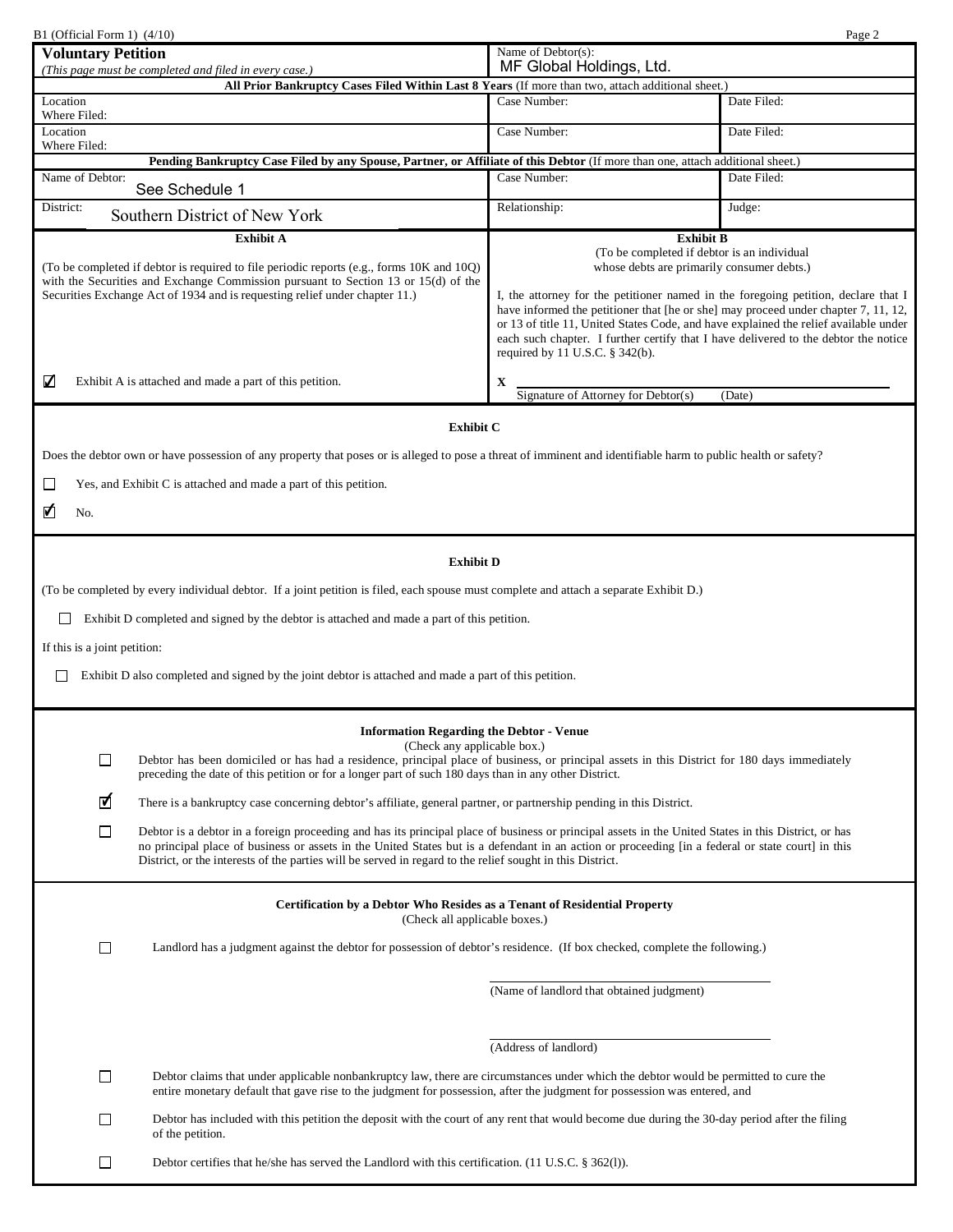| B1 (Official Form 1) $(4/10)$                                                                                                                                                                                                                                                                                                                                                                                                                                                                                                                                                                                                                                                                                                                                |                                                                                                                                                                | Page 2      |  |  |  |
|--------------------------------------------------------------------------------------------------------------------------------------------------------------------------------------------------------------------------------------------------------------------------------------------------------------------------------------------------------------------------------------------------------------------------------------------------------------------------------------------------------------------------------------------------------------------------------------------------------------------------------------------------------------------------------------------------------------------------------------------------------------|----------------------------------------------------------------------------------------------------------------------------------------------------------------|-------------|--|--|--|
| <b>Voluntary Petition</b>                                                                                                                                                                                                                                                                                                                                                                                                                                                                                                                                                                                                                                                                                                                                    | Name of Debtor(s):                                                                                                                                             |             |  |  |  |
| (This page must be completed and filed in every case.)                                                                                                                                                                                                                                                                                                                                                                                                                                                                                                                                                                                                                                                                                                       | MF Global Holdings, Ltd.                                                                                                                                       |             |  |  |  |
| All Prior Bankruptcy Cases Filed Within Last 8 Years (If more than two, attach additional sheet.)<br>Location                                                                                                                                                                                                                                                                                                                                                                                                                                                                                                                                                                                                                                                | Case Number:                                                                                                                                                   | Date Filed: |  |  |  |
| Where Filed:                                                                                                                                                                                                                                                                                                                                                                                                                                                                                                                                                                                                                                                                                                                                                 |                                                                                                                                                                |             |  |  |  |
| Location                                                                                                                                                                                                                                                                                                                                                                                                                                                                                                                                                                                                                                                                                                                                                     | Case Number:                                                                                                                                                   | Date Filed: |  |  |  |
| Where Filed:                                                                                                                                                                                                                                                                                                                                                                                                                                                                                                                                                                                                                                                                                                                                                 |                                                                                                                                                                |             |  |  |  |
| Pending Bankruptcy Case Filed by any Spouse, Partner, or Affiliate of this Debtor (If more than one, attach additional sheet.)<br>Name of Debtor:                                                                                                                                                                                                                                                                                                                                                                                                                                                                                                                                                                                                            |                                                                                                                                                                |             |  |  |  |
| See Schedule 1                                                                                                                                                                                                                                                                                                                                                                                                                                                                                                                                                                                                                                                                                                                                               | Case Number:                                                                                                                                                   | Date Filed: |  |  |  |
| District:<br>Southern District of New York                                                                                                                                                                                                                                                                                                                                                                                                                                                                                                                                                                                                                                                                                                                   | Relationship:                                                                                                                                                  | Judge:      |  |  |  |
| <b>Exhibit A</b>                                                                                                                                                                                                                                                                                                                                                                                                                                                                                                                                                                                                                                                                                                                                             | <b>Exhibit B</b>                                                                                                                                               |             |  |  |  |
| (To be completed if debtor is an individual<br>(To be completed if debtor is required to file periodic reports (e.g., forms 10K and 10Q)<br>whose debts are primarily consumer debts.)<br>with the Securities and Exchange Commission pursuant to Section 13 or 15(d) of the<br>Securities Exchange Act of 1934 and is requesting relief under chapter 11.)<br>I, the attorney for the petitioner named in the foregoing petition, declare that I<br>have informed the petitioner that [he or she] may proceed under chapter 7, 11, 12,<br>or 13 of title 11, United States Code, and have explained the relief available under<br>each such chapter. I further certify that I have delivered to the debtor the notice<br>required by 11 U.S.C. $\S$ 342(b). |                                                                                                                                                                |             |  |  |  |
|                                                                                                                                                                                                                                                                                                                                                                                                                                                                                                                                                                                                                                                                                                                                                              |                                                                                                                                                                |             |  |  |  |
| V<br>Exhibit A is attached and made a part of this petition.                                                                                                                                                                                                                                                                                                                                                                                                                                                                                                                                                                                                                                                                                                 | $\mathbf X$<br>Signature of Attorney for Debtor(s)                                                                                                             | (Date)      |  |  |  |
|                                                                                                                                                                                                                                                                                                                                                                                                                                                                                                                                                                                                                                                                                                                                                              |                                                                                                                                                                |             |  |  |  |
| Yes, and Exhibit C is attached and made a part of this petition.<br>$\mathbb{R}^n$<br>☑<br>No.                                                                                                                                                                                                                                                                                                                                                                                                                                                                                                                                                                                                                                                               | Does the debtor own or have possession of any property that poses or is alleged to pose a threat of imminent and identifiable harm to public health or safety? |             |  |  |  |
| <b>Exhibit D</b><br>(To be completed by every individual debtor. If a joint petition is filed, each spouse must complete and attach a separate Exhibit D.)<br>Exhibit D completed and signed by the debtor is attached and made a part of this petition.<br>If this is a joint petition:<br>Exhibit D also completed and signed by the joint debtor is attached and made a part of this petition.                                                                                                                                                                                                                                                                                                                                                            |                                                                                                                                                                |             |  |  |  |
| <b>Information Regarding the Debtor - Venue</b><br>(Check any applicable box.)<br>Debtor has been domiciled or has had a residence, principal place of business, or principal assets in this District for 180 days immediately<br>□<br>preceding the date of this petition or for a longer part of such 180 days than in any other District.                                                                                                                                                                                                                                                                                                                                                                                                                 |                                                                                                                                                                |             |  |  |  |
| ☑<br>There is a bankruptcy case concerning debtor's affiliate, general partner, or partnership pending in this District.                                                                                                                                                                                                                                                                                                                                                                                                                                                                                                                                                                                                                                     |                                                                                                                                                                |             |  |  |  |
| $\Box$<br>Debtor is a debtor in a foreign proceeding and has its principal place of business or principal assets in the United States in this District, or has<br>no principal place of business or assets in the United States but is a defendant in an action or proceeding [in a federal or state court] in this<br>District, or the interests of the parties will be served in regard to the relief sought in this District.                                                                                                                                                                                                                                                                                                                             |                                                                                                                                                                |             |  |  |  |
| Certification by a Debtor Who Resides as a Tenant of Residential Property<br>(Check all applicable boxes.)                                                                                                                                                                                                                                                                                                                                                                                                                                                                                                                                                                                                                                                   |                                                                                                                                                                |             |  |  |  |
| $\Box$<br>Landlord has a judgment against the debtor for possession of debtor's residence. (If box checked, complete the following.)                                                                                                                                                                                                                                                                                                                                                                                                                                                                                                                                                                                                                         |                                                                                                                                                                |             |  |  |  |
|                                                                                                                                                                                                                                                                                                                                                                                                                                                                                                                                                                                                                                                                                                                                                              | (Name of landlord that obtained judgment)                                                                                                                      |             |  |  |  |
|                                                                                                                                                                                                                                                                                                                                                                                                                                                                                                                                                                                                                                                                                                                                                              | (Address of landlord)                                                                                                                                          |             |  |  |  |
| $\Box$<br>Debtor claims that under applicable nonbankruptcy law, there are circumstances under which the debtor would be permitted to cure the<br>entire monetary default that gave rise to the judgment for possession, after the judgment for possession was entered, and                                                                                                                                                                                                                                                                                                                                                                                                                                                                                  |                                                                                                                                                                |             |  |  |  |
| $\Box$<br>Debtor has included with this petition the deposit with the court of any rent that would become due during the 30-day period after the filing<br>of the petition.                                                                                                                                                                                                                                                                                                                                                                                                                                                                                                                                                                                  |                                                                                                                                                                |             |  |  |  |
| Debtor certifies that he/she has served the Landlord with this certification. (11 U.S.C. § 362(1)).<br>$\Box$                                                                                                                                                                                                                                                                                                                                                                                                                                                                                                                                                                                                                                                |                                                                                                                                                                |             |  |  |  |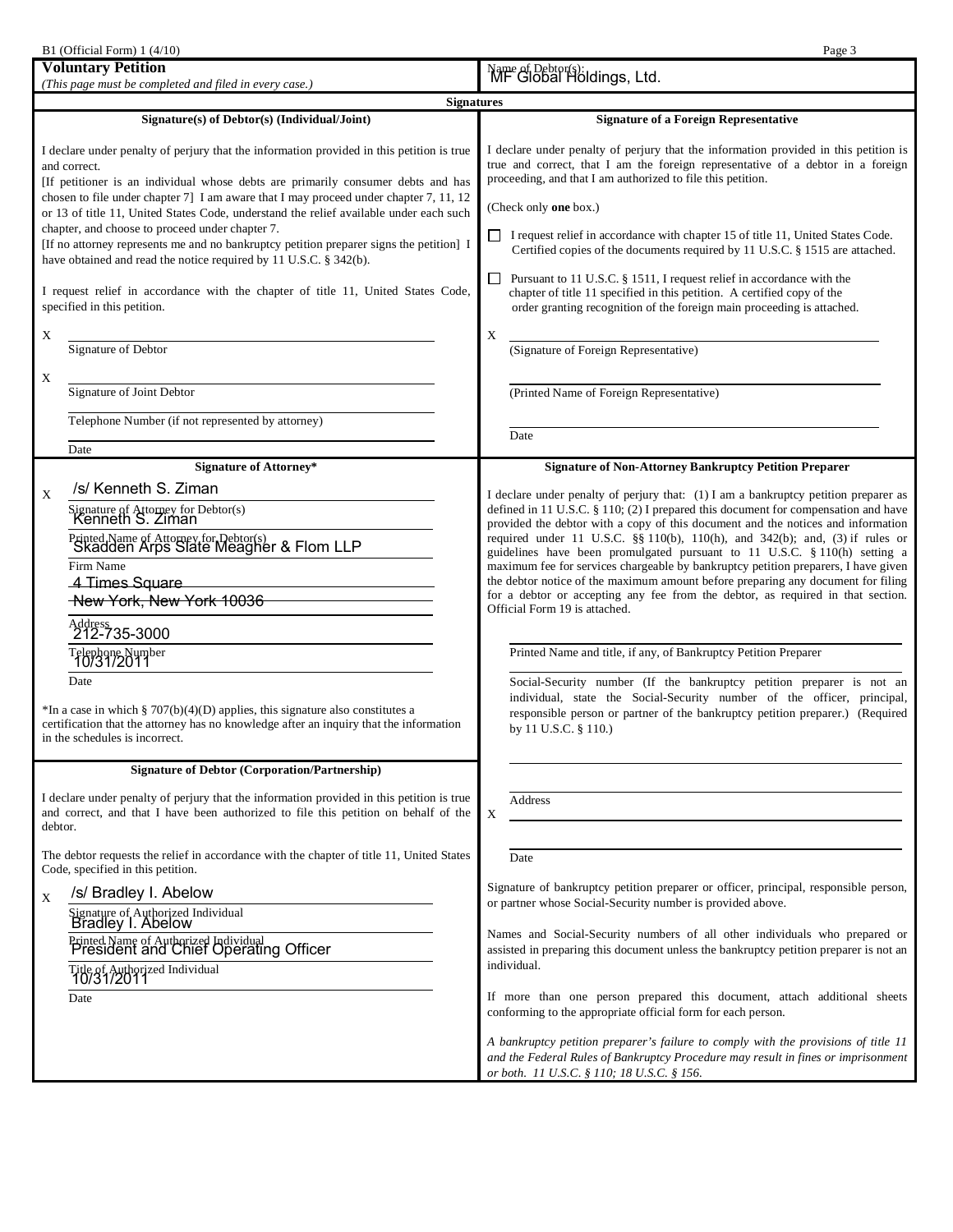| B1 (Official Form) $1(4/10)$                                                                                                                                                                                                                                                                                                                                                                                                                                                                                                                                                                        | Page 3                                                                                                                                                                                                                                                                                                                                                                                                                                                                                                                                                                                                                                                                                                                                                                                                                                                                                                                                                                                                                                                      |
|-----------------------------------------------------------------------------------------------------------------------------------------------------------------------------------------------------------------------------------------------------------------------------------------------------------------------------------------------------------------------------------------------------------------------------------------------------------------------------------------------------------------------------------------------------------------------------------------------------|-------------------------------------------------------------------------------------------------------------------------------------------------------------------------------------------------------------------------------------------------------------------------------------------------------------------------------------------------------------------------------------------------------------------------------------------------------------------------------------------------------------------------------------------------------------------------------------------------------------------------------------------------------------------------------------------------------------------------------------------------------------------------------------------------------------------------------------------------------------------------------------------------------------------------------------------------------------------------------------------------------------------------------------------------------------|
| <b>Voluntary Petition</b>                                                                                                                                                                                                                                                                                                                                                                                                                                                                                                                                                                           | Name of Debtor(s):<br>MF Global Holdings, Ltd.                                                                                                                                                                                                                                                                                                                                                                                                                                                                                                                                                                                                                                                                                                                                                                                                                                                                                                                                                                                                              |
| (This page must be completed and filed in every case.)                                                                                                                                                                                                                                                                                                                                                                                                                                                                                                                                              |                                                                                                                                                                                                                                                                                                                                                                                                                                                                                                                                                                                                                                                                                                                                                                                                                                                                                                                                                                                                                                                             |
| <b>Signatures</b><br>Signature(s) of Debtor(s) (Individual/Joint)                                                                                                                                                                                                                                                                                                                                                                                                                                                                                                                                   | <b>Signature of a Foreign Representative</b>                                                                                                                                                                                                                                                                                                                                                                                                                                                                                                                                                                                                                                                                                                                                                                                                                                                                                                                                                                                                                |
| I declare under penalty of perjury that the information provided in this petition is true<br>and correct.<br>[If petitioner is an individual whose debts are primarily consumer debts and has<br>chosen to file under chapter 7] I am aware that I may proceed under chapter 7, 11, 12<br>or 13 of title 11, United States Code, understand the relief available under each such<br>chapter, and choose to proceed under chapter 7.<br>[If no attorney represents me and no bankruptcy petition preparer signs the petition] I<br>have obtained and read the notice required by 11 U.S.C. § 342(b). | I declare under penalty of perjury that the information provided in this petition is<br>true and correct, that I am the foreign representative of a debtor in a foreign<br>proceeding, and that I am authorized to file this petition.<br>(Check only one box.)<br>$\Box$<br>I request relief in accordance with chapter 15 of title 11, United States Code.<br>Certified copies of the documents required by 11 U.S.C. § 1515 are attached.                                                                                                                                                                                                                                                                                                                                                                                                                                                                                                                                                                                                                |
| I request relief in accordance with the chapter of title 11, United States Code,<br>specified in this petition.<br>X<br>Signature of Debtor                                                                                                                                                                                                                                                                                                                                                                                                                                                         | Pursuant to 11 U.S.C. § 1511, I request relief in accordance with the<br>$\Box$<br>chapter of title 11 specified in this petition. A certified copy of the<br>order granting recognition of the foreign main proceeding is attached.<br>$\mathbf X$<br>(Signature of Foreign Representative)                                                                                                                                                                                                                                                                                                                                                                                                                                                                                                                                                                                                                                                                                                                                                                |
| X<br>Signature of Joint Debtor<br>Telephone Number (if not represented by attorney)<br>Date                                                                                                                                                                                                                                                                                                                                                                                                                                                                                                         | (Printed Name of Foreign Representative)<br>Date                                                                                                                                                                                                                                                                                                                                                                                                                                                                                                                                                                                                                                                                                                                                                                                                                                                                                                                                                                                                            |
| <b>Signature of Attorney*</b>                                                                                                                                                                                                                                                                                                                                                                                                                                                                                                                                                                       | <b>Signature of Non-Attorney Bankruptcy Petition Preparer</b>                                                                                                                                                                                                                                                                                                                                                                                                                                                                                                                                                                                                                                                                                                                                                                                                                                                                                                                                                                                               |
| /s/ Kenneth S. Ziman<br>X<br>Signature of Attorney for Debtor(s)<br>Kenneth S. Ziman<br><b>Printed Name of Attomey for Debtor(s)</b><br>Skadden Arps Slate Meagher & Flom LLP<br>Firm Name<br>4 Times Square<br>New York, New York 10036<br>Address<br>212-735-3000<br>Telephone Number<br>10/31/2011<br>Date<br>*In a case in which $\S 707(b)(4)(D)$ applies, this signature also constitutes a<br>certification that the attorney has no knowledge after an inquiry that the information<br>in the schedules is incorrect.                                                                       | I declare under penalty of perjury that: (1) I am a bankruptcy petition preparer as<br>defined in 11 U.S.C. $\S$ 110; (2) I prepared this document for compensation and have<br>provided the debtor with a copy of this document and the notices and information<br>required under 11 U.S.C. §§ 110(b), 110(h), and 342(b); and, (3) if rules or<br>guidelines have been promulgated pursuant to 11 U.S.C. § 110(h) setting a<br>maximum fee for services chargeable by bankruptcy petition preparers, I have given<br>the debtor notice of the maximum amount before preparing any document for filing<br>for a debtor or accepting any fee from the debtor, as required in that section.<br>Official Form 19 is attached.<br>Printed Name and title, if any, of Bankruptcy Petition Preparer<br>Social-Security number (If the bankruptcy petition preparer is not an<br>individual, state the Social-Security number of the officer, principal,<br>responsible person or partner of the bankruptcy petition preparer.) (Required<br>by 11 U.S.C. § 110.) |
| <b>Signature of Debtor (Corporation/Partnership)</b><br>I declare under penalty of perjury that the information provided in this petition is true<br>and correct, and that I have been authorized to file this petition on behalf of the                                                                                                                                                                                                                                                                                                                                                            | Address<br>X                                                                                                                                                                                                                                                                                                                                                                                                                                                                                                                                                                                                                                                                                                                                                                                                                                                                                                                                                                                                                                                |
| debtor.<br>The debtor requests the relief in accordance with the chapter of title 11, United States<br>Code, specified in this petition.<br>/s/ Bradley I. Abelow<br>X<br>Signature of Authorized Individual<br>Bradley 1. Abelow<br><b>Printed Name of Authorized Individual</b><br>President and Chief Operating Officer<br>Title of Authorized Individual<br>10/31/2011<br>Date                                                                                                                                                                                                                  | Date<br>Signature of bankruptcy petition preparer or officer, principal, responsible person,<br>or partner whose Social-Security number is provided above.<br>Names and Social-Security numbers of all other individuals who prepared or<br>assisted in preparing this document unless the bankruptcy petition preparer is not an<br>individual.<br>If more than one person prepared this document, attach additional sheets<br>conforming to the appropriate official form for each person.<br>A bankruptcy petition preparer's failure to comply with the provisions of title 11<br>and the Federal Rules of Bankruptcy Procedure may result in fines or imprisonment<br>or both. 11 U.S.C. § 110; 18 U.S.C. § 156.                                                                                                                                                                                                                                                                                                                                       |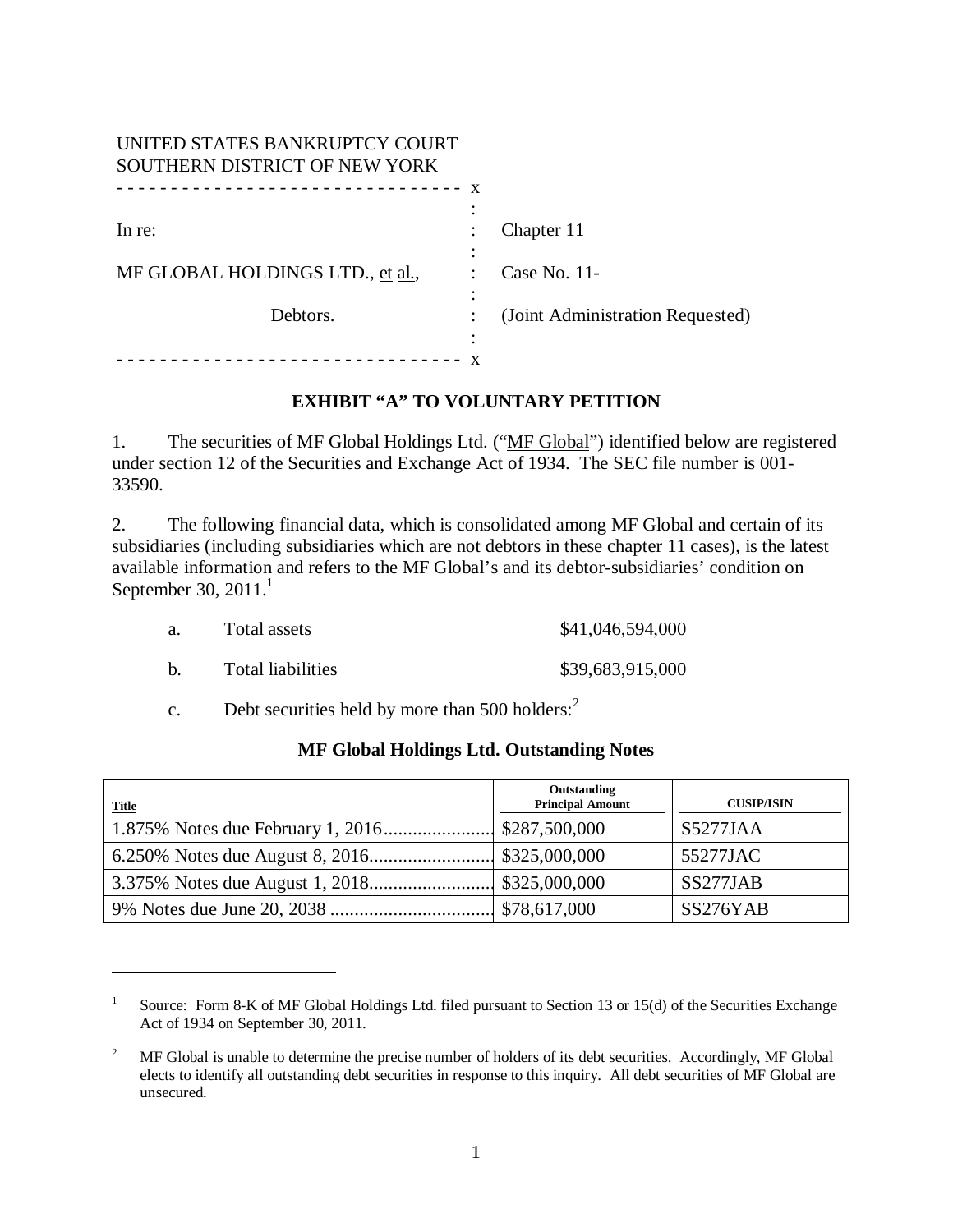| UNITED STATES BANKRUPTCY COURT   |   |                                  |
|----------------------------------|---|----------------------------------|
| SOUTHERN DISTRICT OF NEW YORK    |   |                                  |
|                                  |   |                                  |
|                                  |   |                                  |
| In re:                           |   | Chapter 11                       |
|                                  |   |                                  |
| MF GLOBAL HOLDINGS LTD., et al., |   | Case No. $11$ -                  |
|                                  |   |                                  |
| Debtors.                         |   | (Joint Administration Requested) |
|                                  | ٠ |                                  |
|                                  |   |                                  |

# **EXHIBIT "A" TO VOLUNTARY PETITION**

1. The securities of MF Global Holdings Ltd. ("MF Global") identified below are registered under section 12 of the Securities and Exchange Act of 1934. The SEC file number is 001- 33590.

2. The following financial data, which is consolidated among MF Global and certain of its subsidiaries (including subsidiaries which are not debtors in these chapter 11 cases), is the latest available information and refers to the MF Global's and its debtor-subsidiaries' condition on September 30, 2011. $^1$ 

| a. | Total assets      | \$41,046,594,000 |
|----|-------------------|------------------|
| h  | Total liabilities | \$39,683,915,000 |

c. Debt securities held by more than  $500$  holders:<sup>2</sup>

### **MF Global Holdings Ltd. Outstanding Notes**

| <b>Title</b> | Outstanding<br><b>Principal Amount</b> | <b>CUSIP/ISIN</b> |
|--------------|----------------------------------------|-------------------|
|              |                                        | S5277JAA          |
|              |                                        | 55277JAC          |
|              |                                        | SS277JAB          |
|              |                                        | SS276YAB          |

<sup>1</sup> Source: Form 8-K of MF Global Holdings Ltd. filed pursuant to Section 13 or 15(d) of the Securities Exchange Act of 1934 on September 30, 2011.

<sup>&</sup>lt;sup>2</sup> MF Global is unable to determine the precise number of holders of its debt securities. Accordingly, MF Global elects to identify all outstanding debt securities in response to this inquiry. All debt securities of MF Global are unsecured.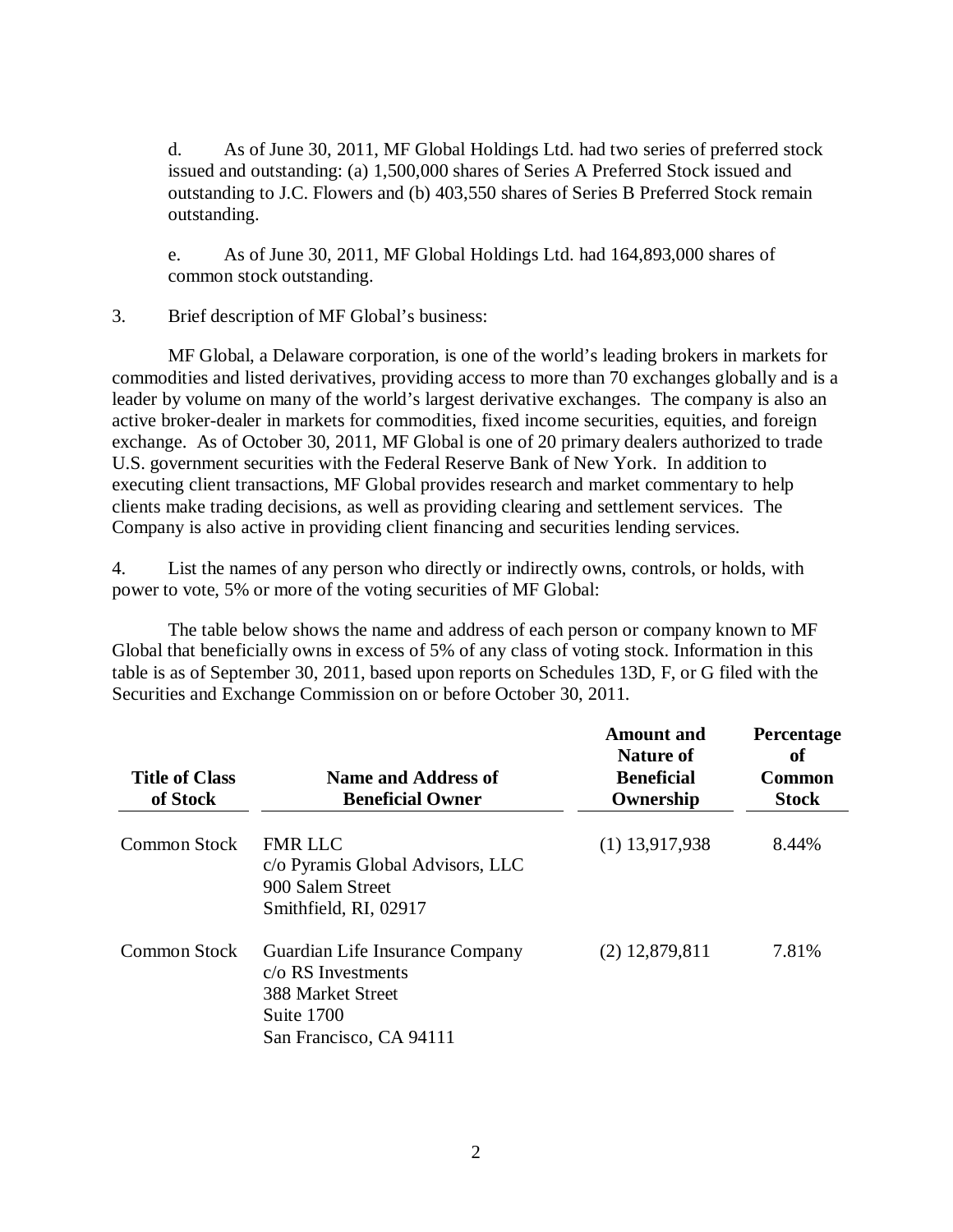d. As of June 30, 2011, MF Global Holdings Ltd. had two series of preferred stock issued and outstanding: (a) 1,500,000 shares of Series A Preferred Stock issued and outstanding to J.C. Flowers and (b) 403,550 shares of Series B Preferred Stock remain outstanding.

e. As of June 30, 2011, MF Global Holdings Ltd. had 164,893,000 shares of common stock outstanding.

3. Brief description of MF Global's business:

MF Global, a Delaware corporation, is one of the world's leading brokers in markets for commodities and listed derivatives, providing access to more than 70 exchanges globally and is a leader by volume on many of the world's largest derivative exchanges. The company is also an active broker-dealer in markets for commodities, fixed income securities, equities, and foreign exchange. As of October 30, 2011, MF Global is one of 20 primary dealers authorized to trade U.S. government securities with the Federal Reserve Bank of New York. In addition to executing client transactions, MF Global provides research and market commentary to help clients make trading decisions, as well as providing clearing and settlement services. The Company is also active in providing client financing and securities lending services.

4. List the names of any person who directly or indirectly owns, controls, or holds, with power to vote, 5% or more of the voting securities of MF Global:

The table below shows the name and address of each person or company known to MF Global that beneficially owns in excess of 5% of any class of voting stock. Information in this table is as of September 30, 2011, based upon reports on Schedules 13D, F, or G filed with the Securities and Exchange Commission on or before October 30, 2011.

| <b>Title of Class</b><br>of Stock | <b>Name and Address of</b><br><b>Beneficial Owner</b>                                                                      | Amount and<br>Nature of<br><b>Beneficial</b><br>Ownership | Percentage<br>of<br>Common<br><b>Stock</b> |
|-----------------------------------|----------------------------------------------------------------------------------------------------------------------------|-----------------------------------------------------------|--------------------------------------------|
| <b>Common Stock</b>               | <b>FMR LLC</b><br>c/o Pyramis Global Advisors, LLC<br>900 Salem Street<br>Smithfield, RI, 02917                            | $(1)$ 13,917,938                                          | 8.44%                                      |
| Common Stock                      | Guardian Life Insurance Company<br>$c/\sigma$ RS Investments<br>388 Market Street<br>Suite 1700<br>San Francisco, CA 94111 | $(2)$ 12,879,811                                          | 7.81%                                      |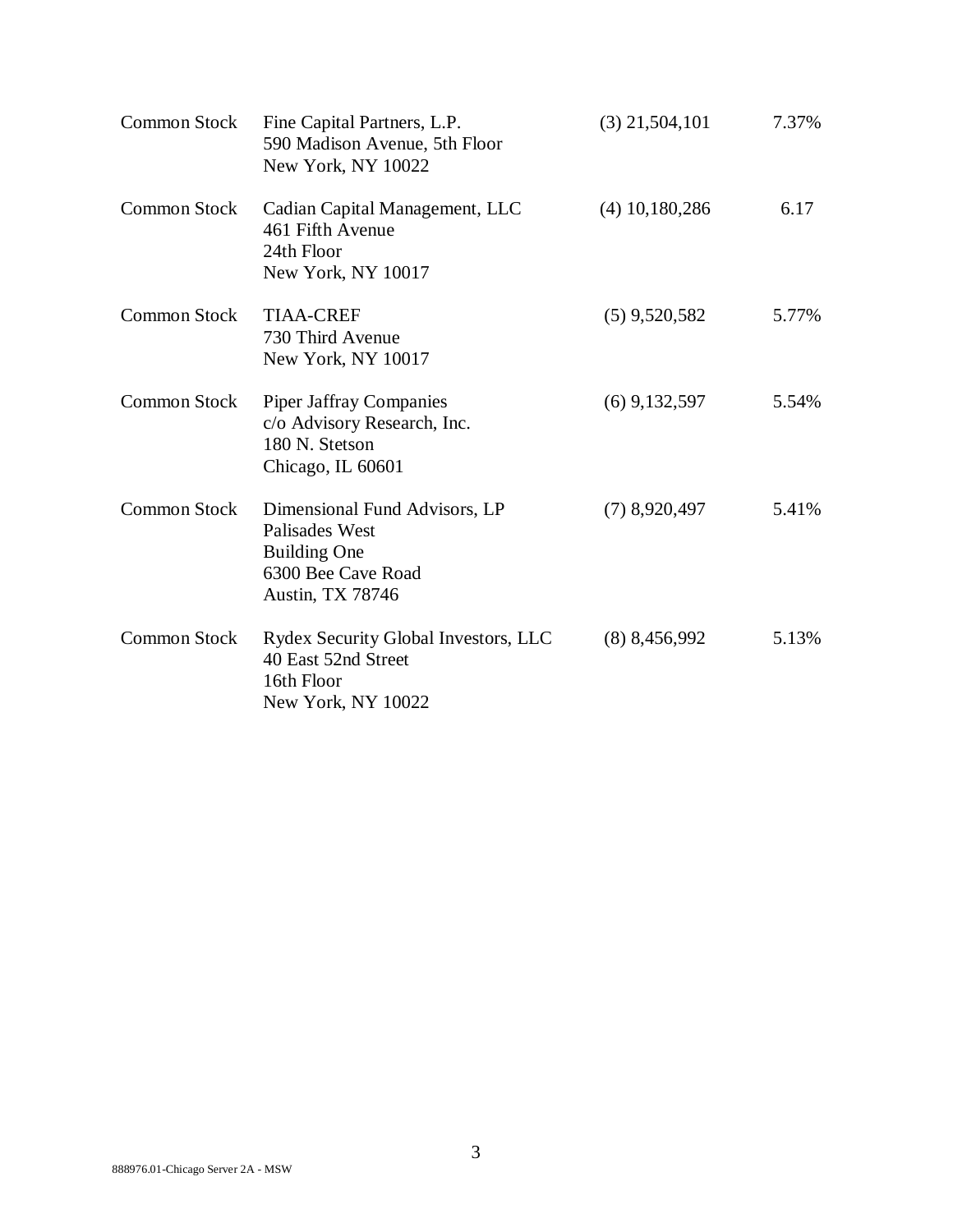| <b>Common Stock</b> | Fine Capital Partners, L.P.<br>590 Madison Avenue, 5th Floor<br>New York, NY 10022                               | $(3)$ 21,504,101 | 7.37% |
|---------------------|------------------------------------------------------------------------------------------------------------------|------------------|-------|
| <b>Common Stock</b> | Cadian Capital Management, LLC<br>461 Fifth Avenue<br>24th Floor<br>New York, NY 10017                           | $(4)$ 10,180,286 | 6.17  |
| <b>Common Stock</b> | <b>TIAA-CREF</b><br>730 Third Avenue<br>New York, NY 10017                                                       | $(5)$ 9,520,582  | 5.77% |
| <b>Common Stock</b> | <b>Piper Jaffray Companies</b><br>c/o Advisory Research, Inc.<br>180 N. Stetson<br>Chicago, IL 60601             | $(6)$ 9,132,597  | 5.54% |
| <b>Common Stock</b> | Dimensional Fund Advisors, LP<br>Palisades West<br><b>Building One</b><br>6300 Bee Cave Road<br>Austin, TX 78746 | $(7)$ 8,920,497  | 5.41% |
| <b>Common Stock</b> | Rydex Security Global Investors, LLC<br>40 East 52nd Street<br>16th Floor<br>New York, NY 10022                  | $(8)$ 8,456,992  | 5.13% |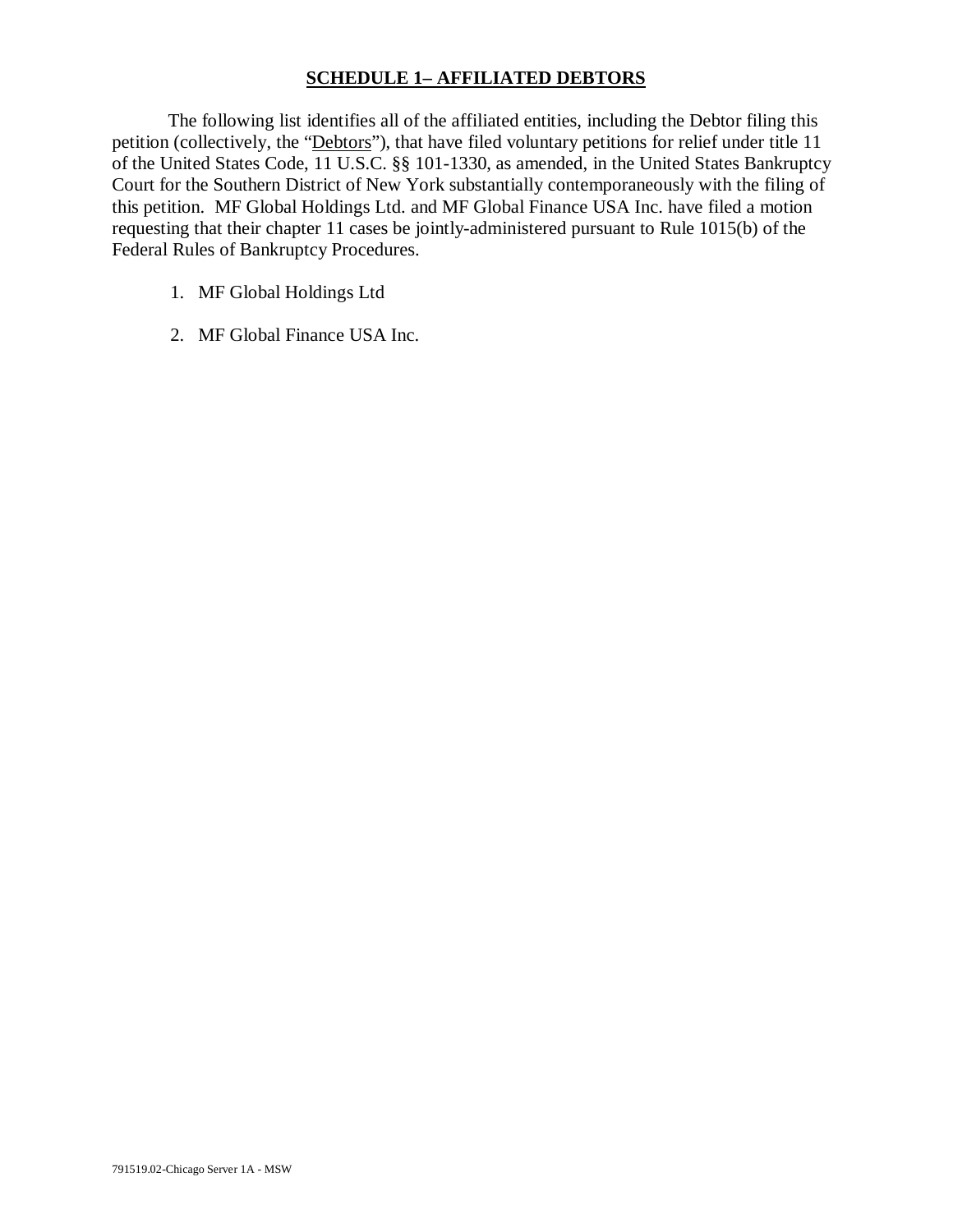## **SCHEDULE 1– AFFILIATED DEBTORS**

The following list identifies all of the affiliated entities, including the Debtor filing this petition (collectively, the "Debtors"), that have filed voluntary petitions for relief under title 11 of the United States Code, 11 U.S.C. §§ 101-1330, as amended, in the United States Bankruptcy Court for the Southern District of New York substantially contemporaneously with the filing of this petition. MF Global Holdings Ltd. and MF Global Finance USA Inc. have filed a motion requesting that their chapter 11 cases be jointly-administered pursuant to Rule 1015(b) of the Federal Rules of Bankruptcy Procedures.

- 1. MF Global Holdings Ltd
- 2. MF Global Finance USA Inc.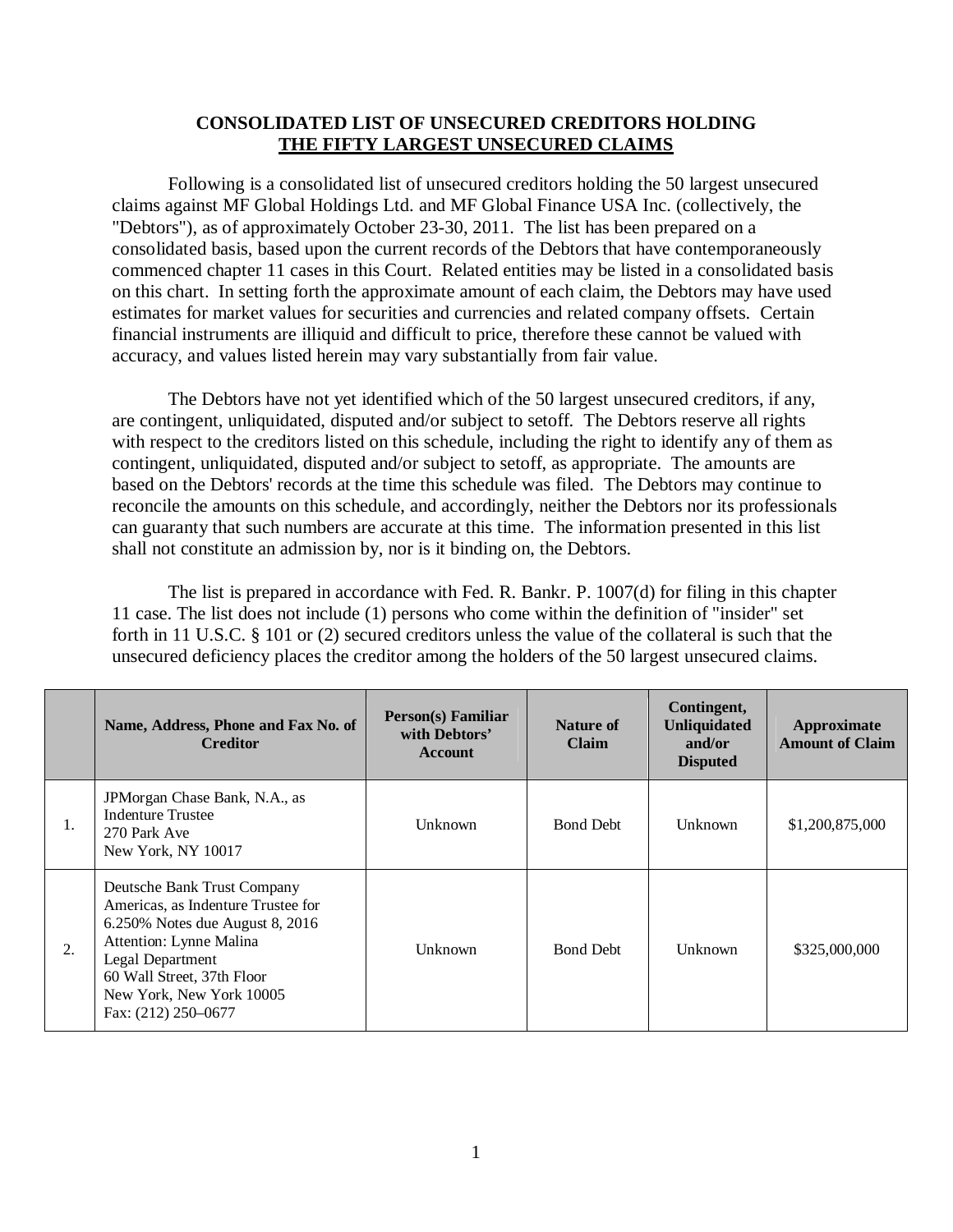### **CONSOLIDATED LIST OF UNSECURED CREDITORS HOLDING THE FIFTY LARGEST UNSECURED CLAIMS**

Following is a consolidated list of unsecured creditors holding the 50 largest unsecured claims against MF Global Holdings Ltd. and MF Global Finance USA Inc. (collectively, the "Debtors"), as of approximately October 23-30, 2011. The list has been prepared on a consolidated basis, based upon the current records of the Debtors that have contemporaneously commenced chapter 11 cases in this Court. Related entities may be listed in a consolidated basis on this chart. In setting forth the approximate amount of each claim, the Debtors may have used estimates for market values for securities and currencies and related company offsets. Certain financial instruments are illiquid and difficult to price, therefore these cannot be valued with accuracy, and values listed herein may vary substantially from fair value.

The Debtors have not yet identified which of the 50 largest unsecured creditors, if any, are contingent, unliquidated, disputed and/or subject to setoff. The Debtors reserve all rights with respect to the creditors listed on this schedule, including the right to identify any of them as contingent, unliquidated, disputed and/or subject to setoff, as appropriate. The amounts are based on the Debtors' records at the time this schedule was filed. The Debtors may continue to reconcile the amounts on this schedule, and accordingly, neither the Debtors nor its professionals can guaranty that such numbers are accurate at this time. The information presented in this list shall not constitute an admission by, nor is it binding on, the Debtors.

The list is prepared in accordance with Fed. R. Bankr. P. 1007(d) for filing in this chapter 11 case. The list does not include (1) persons who come within the definition of "insider" set forth in 11 U.S.C. § 101 or (2) secured creditors unless the value of the collateral is such that the unsecured deficiency places the creditor among the holders of the 50 largest unsecured claims.

|    | Name, Address, Phone and Fax No. of<br><b>Creditor</b>                                                                                                                                                                               | <b>Person(s) Familiar</b><br>with Debtors'<br><b>Account</b> | Nature of<br><b>Claim</b> | Contingent,<br><b>Unliquidated</b><br>and/or<br><b>Disputed</b> | <b>Approximate</b><br><b>Amount of Claim</b> |
|----|--------------------------------------------------------------------------------------------------------------------------------------------------------------------------------------------------------------------------------------|--------------------------------------------------------------|---------------------------|-----------------------------------------------------------------|----------------------------------------------|
| 1. | JPM organ Chase Bank, N.A., as<br><b>Indenture Trustee</b><br>270 Park Ave<br>New York, NY 10017                                                                                                                                     | Unknown                                                      | <b>Bond Debt</b>          | Unknown                                                         | \$1,200,875,000                              |
| 2. | Deutsche Bank Trust Company<br>Americas, as Indenture Trustee for<br>6.250% Notes due August 8, 2016<br>Attention: Lynne Malina<br>Legal Department<br>60 Wall Street, 37th Floor<br>New York, New York 10005<br>Fax: (212) 250-0677 | Unknown                                                      | <b>Bond Debt</b>          | Unknown                                                         | \$325,000,000                                |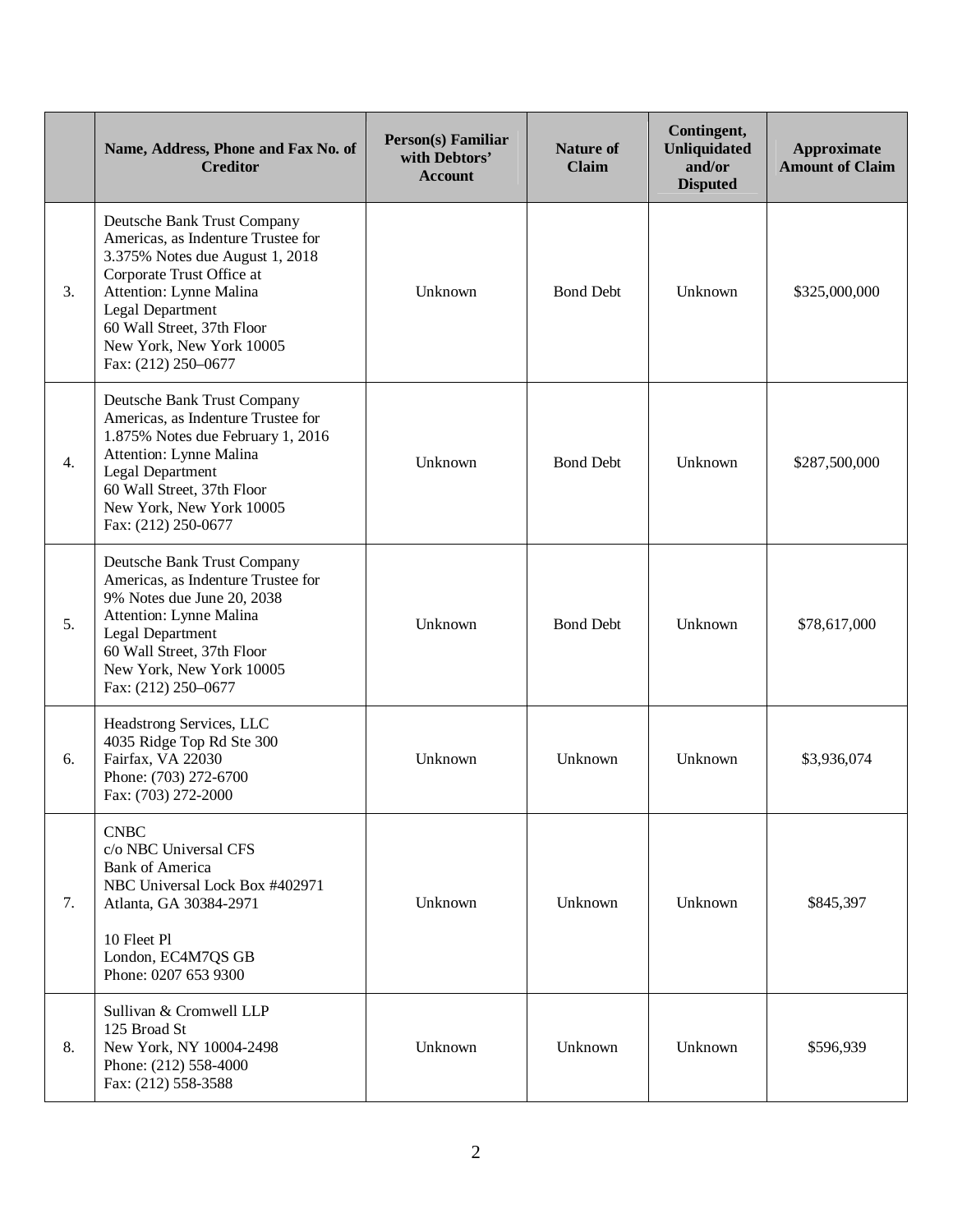|    | Name, Address, Phone and Fax No. of<br><b>Creditor</b>                                                                                                                                                                                                            | Person(s) Familiar<br>with Debtors'<br><b>Account</b> | <b>Nature of</b><br><b>Claim</b> | Contingent,<br>Unliquidated<br>and/or<br><b>Disputed</b> | <b>Approximate</b><br><b>Amount of Claim</b> |
|----|-------------------------------------------------------------------------------------------------------------------------------------------------------------------------------------------------------------------------------------------------------------------|-------------------------------------------------------|----------------------------------|----------------------------------------------------------|----------------------------------------------|
| 3. | Deutsche Bank Trust Company<br>Americas, as Indenture Trustee for<br>3.375% Notes due August 1, 2018<br>Corporate Trust Office at<br>Attention: Lynne Malina<br>Legal Department<br>60 Wall Street, 37th Floor<br>New York, New York 10005<br>Fax: (212) 250-0677 | Unknown                                               | <b>Bond Debt</b>                 | Unknown                                                  | \$325,000,000                                |
| 4. | Deutsche Bank Trust Company<br>Americas, as Indenture Trustee for<br>1.875% Notes due February 1, 2016<br>Attention: Lynne Malina<br>Legal Department<br>60 Wall Street, 37th Floor<br>New York, New York 10005<br>Fax: (212) 250-0677                            | Unknown                                               | <b>Bond Debt</b>                 | Unknown                                                  | \$287,500,000                                |
| 5. | Deutsche Bank Trust Company<br>Americas, as Indenture Trustee for<br>9% Notes due June 20, 2038<br>Attention: Lynne Malina<br>Legal Department<br>60 Wall Street, 37th Floor<br>New York, New York 10005<br>Fax: (212) 250-0677                                   | Unknown                                               | <b>Bond Debt</b>                 | Unknown                                                  | \$78,617,000                                 |
| 6. | Headstrong Services, LLC<br>4035 Ridge Top Rd Ste 300<br>Fairfax, VA 22030<br>Phone: (703) 272-6700<br>Fax: (703) 272-2000                                                                                                                                        | Unknown                                               | Unknown                          | Unknown                                                  | \$3,936,074                                  |
| 7. | <b>CNBC</b><br>c/o NBC Universal CFS<br><b>Bank of America</b><br>NBC Universal Lock Box #402971<br>Atlanta, GA 30384-2971<br>10 Fleet Pl<br>London, EC4M7QS GB<br>Phone: 0207 653 9300                                                                           | Unknown                                               | Unknown                          | Unknown                                                  | \$845,397                                    |
| 8. | Sullivan & Cromwell LLP<br>125 Broad St<br>New York, NY 10004-2498<br>Phone: (212) 558-4000<br>Fax: (212) 558-3588                                                                                                                                                | Unknown                                               | Unknown                          | Unknown                                                  | \$596,939                                    |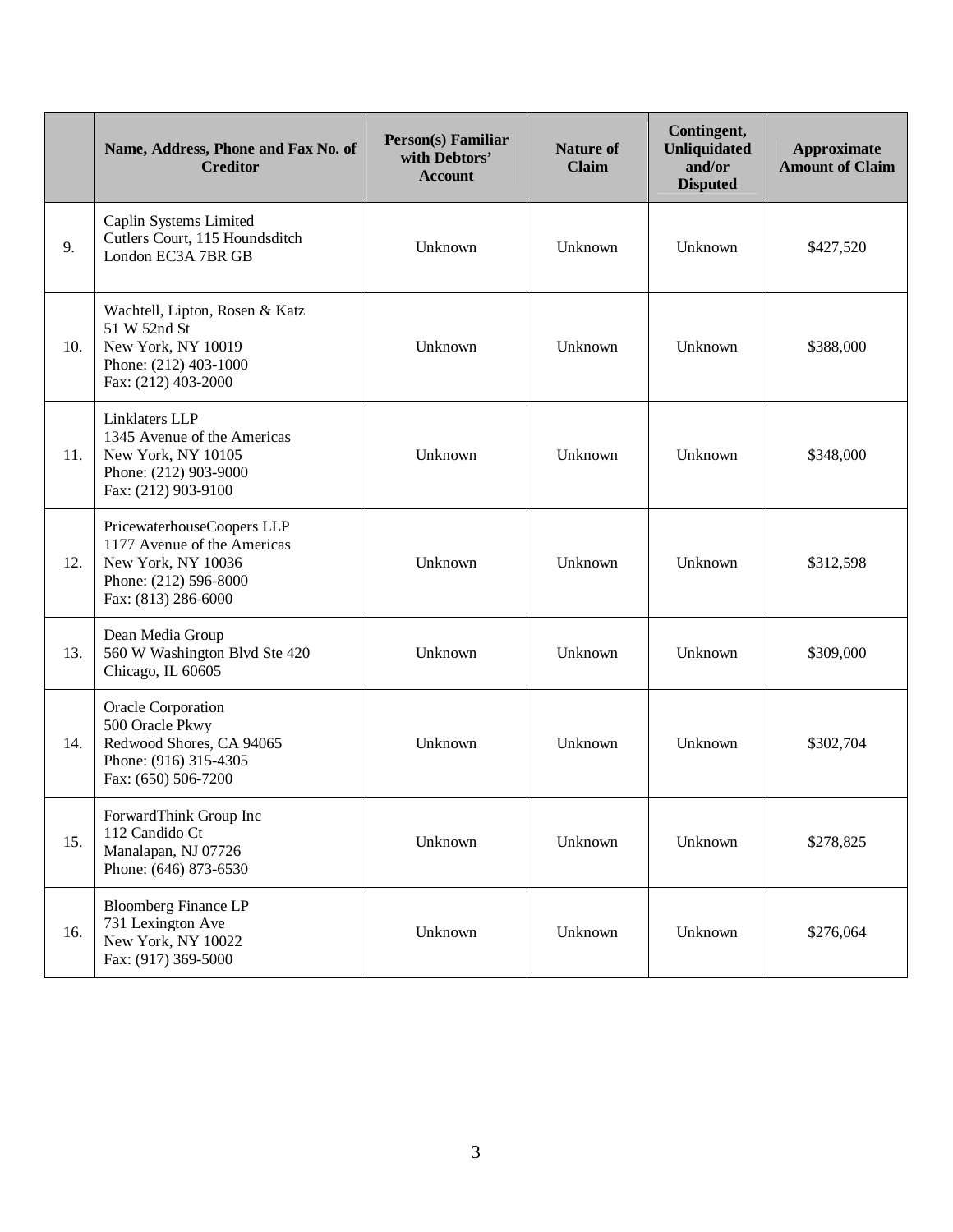|     | Name, Address, Phone and Fax No. of<br><b>Creditor</b>                                                                          | Person(s) Familiar<br>with Debtors'<br><b>Account</b> | <b>Nature of</b><br><b>Claim</b> | Contingent,<br><b>Unliquidated</b><br>and/or<br><b>Disputed</b> | <b>Approximate</b><br><b>Amount of Claim</b> |
|-----|---------------------------------------------------------------------------------------------------------------------------------|-------------------------------------------------------|----------------------------------|-----------------------------------------------------------------|----------------------------------------------|
| 9.  | Caplin Systems Limited<br>Cutlers Court, 115 Houndsditch<br>London EC3A 7BR GB                                                  | Unknown                                               | Unknown                          | Unknown                                                         | \$427,520                                    |
| 10. | Wachtell, Lipton, Rosen & Katz<br>51 W 52nd St<br>New York, NY 10019<br>Phone: (212) 403-1000<br>Fax: (212) 403-2000            | Unknown                                               | Unknown                          | Unknown                                                         | \$388,000                                    |
| 11. | Linklaters LLP<br>1345 Avenue of the Americas<br>New York, NY 10105<br>Phone: (212) 903-9000<br>Fax: (212) 903-9100             | Unknown                                               | Unknown                          | Unknown                                                         | \$348,000                                    |
| 12. | PricewaterhouseCoopers LLP<br>1177 Avenue of the Americas<br>New York, NY 10036<br>Phone: (212) 596-8000<br>Fax: (813) 286-6000 | Unknown                                               | Unknown                          | Unknown                                                         | \$312,598                                    |
| 13. | Dean Media Group<br>560 W Washington Blvd Ste 420<br>Chicago, IL 60605                                                          | Unknown                                               | Unknown                          | Unknown                                                         | \$309,000                                    |
| 14. | <b>Oracle Corporation</b><br>500 Oracle Pkwy<br>Redwood Shores, CA 94065<br>Phone: (916) 315-4305<br>Fax: (650) 506-7200        | Unknown                                               | Unknown                          | Unknown                                                         | \$302,704                                    |
| 15. | ForwardThink Group Inc<br>112 Candido Ct<br>Manalapan, NJ 07726<br>Phone: (646) 873-6530                                        | Unknown                                               | Unknown                          | Unknown                                                         | \$278,825                                    |
| 16. | <b>Bloomberg Finance LP</b><br>731 Lexington Ave<br>New York, NY 10022<br>Fax: (917) 369-5000                                   | Unknown                                               | Unknown                          | Unknown                                                         | \$276,064                                    |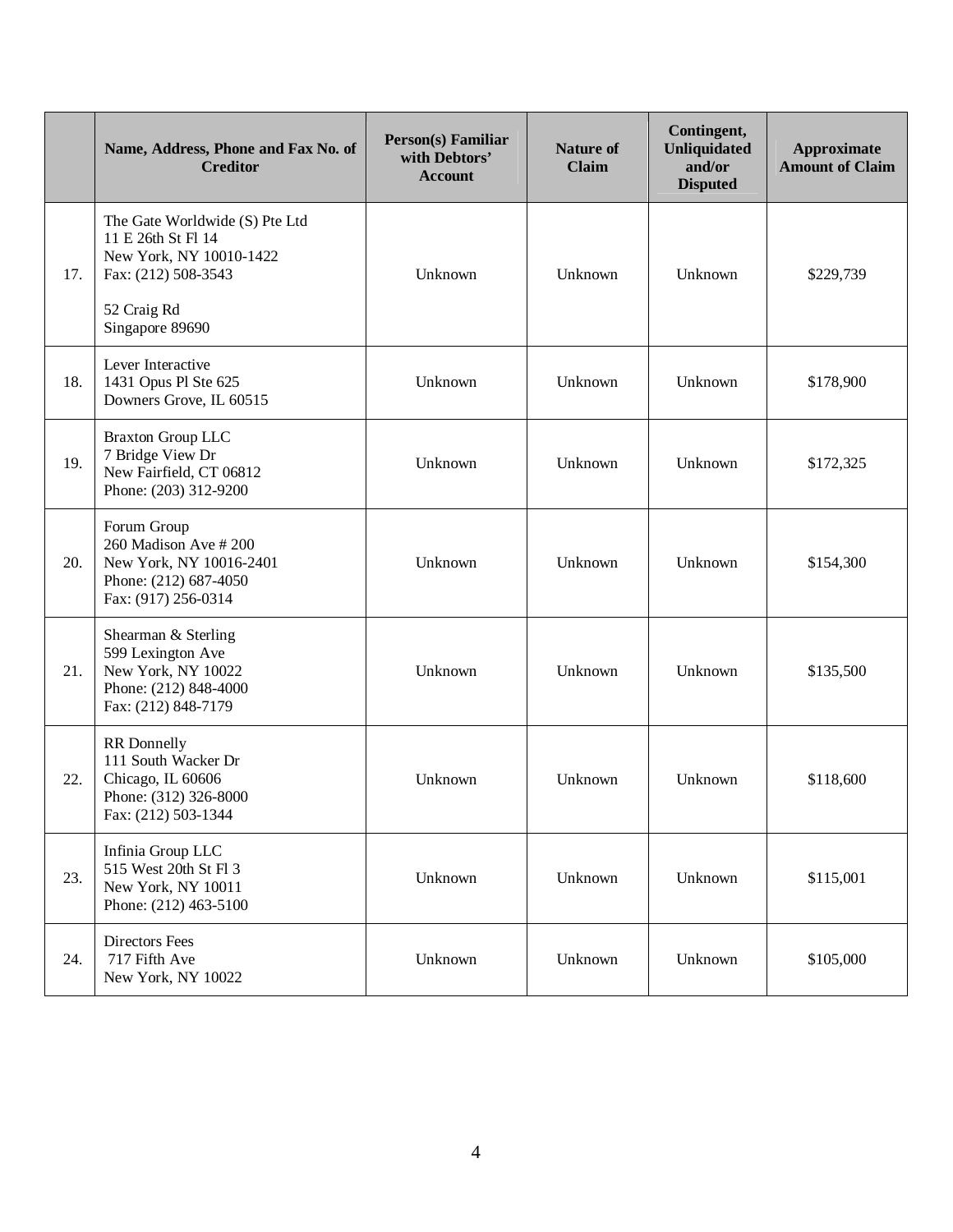|     | Name, Address, Phone and Fax No. of<br><b>Creditor</b>                                                                | <b>Person(s) Familiar</b><br>with Debtors'<br><b>Account</b> | <b>Nature of</b><br><b>Claim</b> | Contingent,<br><b>Unliquidated</b><br>and/or<br><b>Disputed</b> | <b>Approximate</b><br><b>Amount of Claim</b> |
|-----|-----------------------------------------------------------------------------------------------------------------------|--------------------------------------------------------------|----------------------------------|-----------------------------------------------------------------|----------------------------------------------|
| 17. | The Gate Worldwide (S) Pte Ltd<br>11 E 26th St Fl 14<br>New York, NY 10010-1422<br>Fax: (212) 508-3543<br>52 Craig Rd | Unknown                                                      | Unknown                          | Unknown                                                         | \$229,739                                    |
|     | Singapore 89690                                                                                                       |                                                              |                                  |                                                                 |                                              |
| 18. | Lever Interactive<br>1431 Opus Pl Ste 625<br>Downers Grove, IL 60515                                                  | Unknown                                                      | Unknown                          | Unknown                                                         | \$178,900                                    |
| 19. | <b>Braxton Group LLC</b><br>7 Bridge View Dr<br>New Fairfield, CT 06812<br>Phone: (203) 312-9200                      | Unknown                                                      | Unknown                          | Unknown                                                         | \$172,325                                    |
| 20. | Forum Group<br>260 Madison Ave #200<br>New York, NY 10016-2401<br>Phone: (212) 687-4050<br>Fax: (917) 256-0314        | Unknown                                                      | Unknown                          | Unknown                                                         | \$154,300                                    |
| 21. | Shearman & Sterling<br>599 Lexington Ave<br>New York, NY 10022<br>Phone: (212) 848-4000<br>Fax: (212) 848-7179        | Unknown                                                      | Unknown                          | Unknown                                                         | \$135,500                                    |
| 22. | <b>RR</b> Donnelly<br>111 South Wacker Dr<br>Chicago, IL 60606<br>Phone: (312) 326-8000<br>Fax: (212) 503-1344        | Unknown                                                      | Unknown                          | Unknown                                                         | \$118,600                                    |
| 23. | Infinia Group LLC<br>515 West 20th St Fl 3<br>New York, NY 10011<br>Phone: (212) 463-5100                             | Unknown                                                      | Unknown                          | Unknown                                                         | \$115,001                                    |
| 24. | <b>Directors Fees</b><br>717 Fifth Ave<br>New York, NY 10022                                                          | Unknown                                                      | Unknown                          | Unknown                                                         | \$105,000                                    |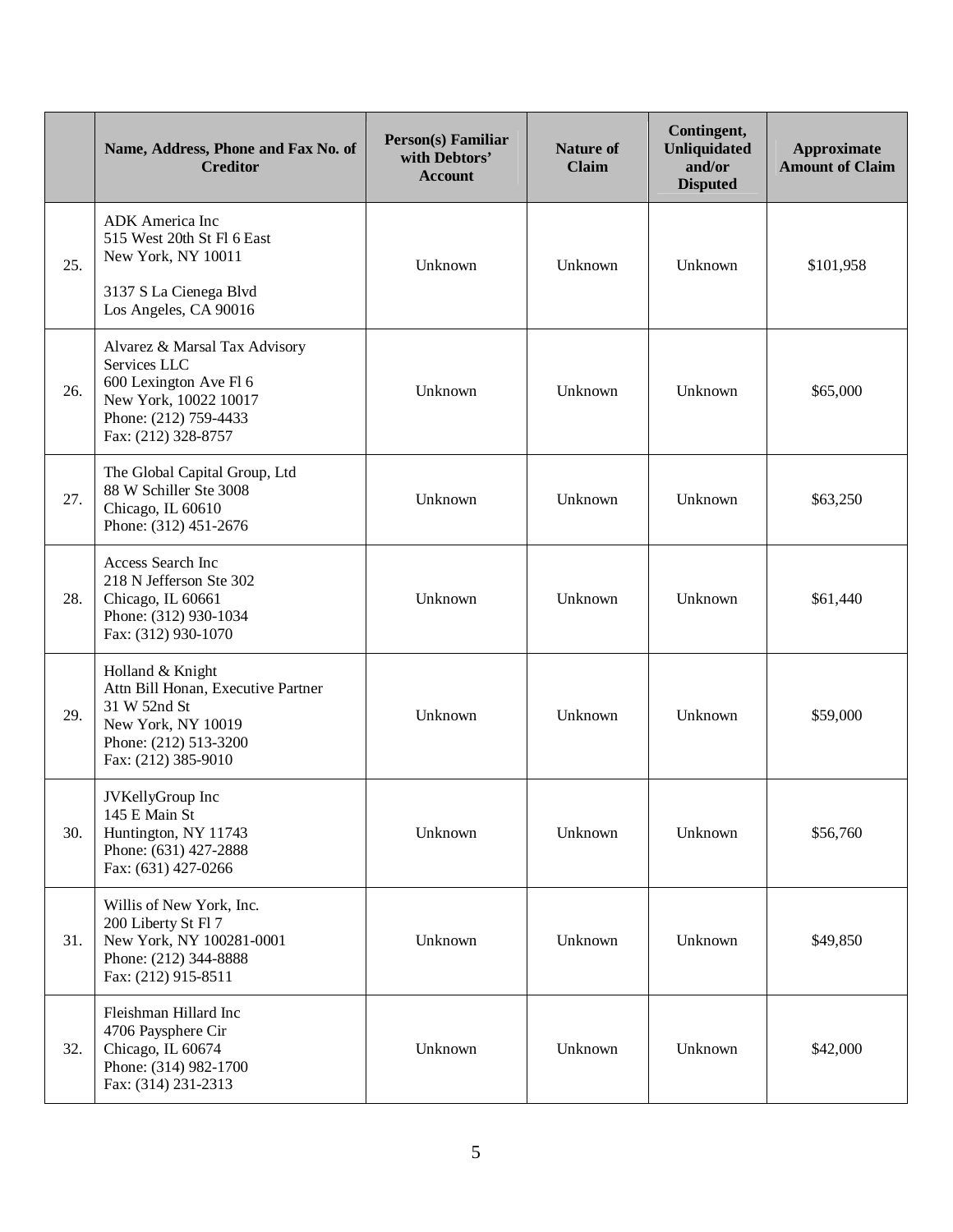|     | Name, Address, Phone and Fax No. of<br><b>Creditor</b>                                                                                           | <b>Person(s) Familiar</b><br>with Debtors'<br><b>Account</b> | <b>Nature of</b><br><b>Claim</b> | Contingent,<br>Unliquidated<br>and/or<br><b>Disputed</b> | <b>Approximate</b><br><b>Amount of Claim</b> |
|-----|--------------------------------------------------------------------------------------------------------------------------------------------------|--------------------------------------------------------------|----------------------------------|----------------------------------------------------------|----------------------------------------------|
| 25. | ADK America Inc<br>515 West 20th St Fl 6 East<br>New York, NY 10011<br>3137 S La Cienega Blvd<br>Los Angeles, CA 90016                           | Unknown                                                      | Unknown                          | Unknown                                                  | \$101,958                                    |
| 26. | Alvarez & Marsal Tax Advisory<br>Services LLC<br>600 Lexington Ave Fl 6<br>New York, 10022 10017<br>Phone: (212) 759-4433<br>Fax: (212) 328-8757 | Unknown                                                      | Unknown                          | Unknown                                                  | \$65,000                                     |
| 27. | The Global Capital Group, Ltd<br>88 W Schiller Ste 3008<br>Chicago, IL 60610<br>Phone: (312) 451-2676                                            | Unknown                                                      | Unknown                          | Unknown                                                  | \$63,250                                     |
| 28. | Access Search Inc<br>218 N Jefferson Ste 302<br>Chicago, IL 60661<br>Phone: (312) 930-1034<br>Fax: (312) 930-1070                                | Unknown                                                      | Unknown                          | Unknown                                                  | \$61,440                                     |
| 29. | Holland & Knight<br>Attn Bill Honan, Executive Partner<br>31 W 52nd St<br>New York, NY 10019<br>Phone: (212) 513-3200<br>Fax: (212) 385-9010     | Unknown                                                      | Unknown                          | Unknown                                                  | \$59,000                                     |
| 30. | JVKellyGroup Inc<br>145 E Main St<br>Huntington, NY 11743<br>Phone: (631) 427-2888<br>Fax: (631) 427-0266                                        | Unknown                                                      | Unknown                          | Unknown                                                  | \$56,760                                     |
| 31. | Willis of New York, Inc.<br>200 Liberty St Fl 7<br>New York, NY 100281-0001<br>Phone: (212) 344-8888<br>Fax: (212) 915-8511                      | Unknown                                                      | Unknown                          | Unknown                                                  | \$49,850                                     |
| 32. | Fleishman Hillard Inc<br>4706 Paysphere Cir<br>Chicago, IL 60674<br>Phone: (314) 982-1700<br>Fax: (314) 231-2313                                 | Unknown                                                      | Unknown                          | Unknown                                                  | \$42,000                                     |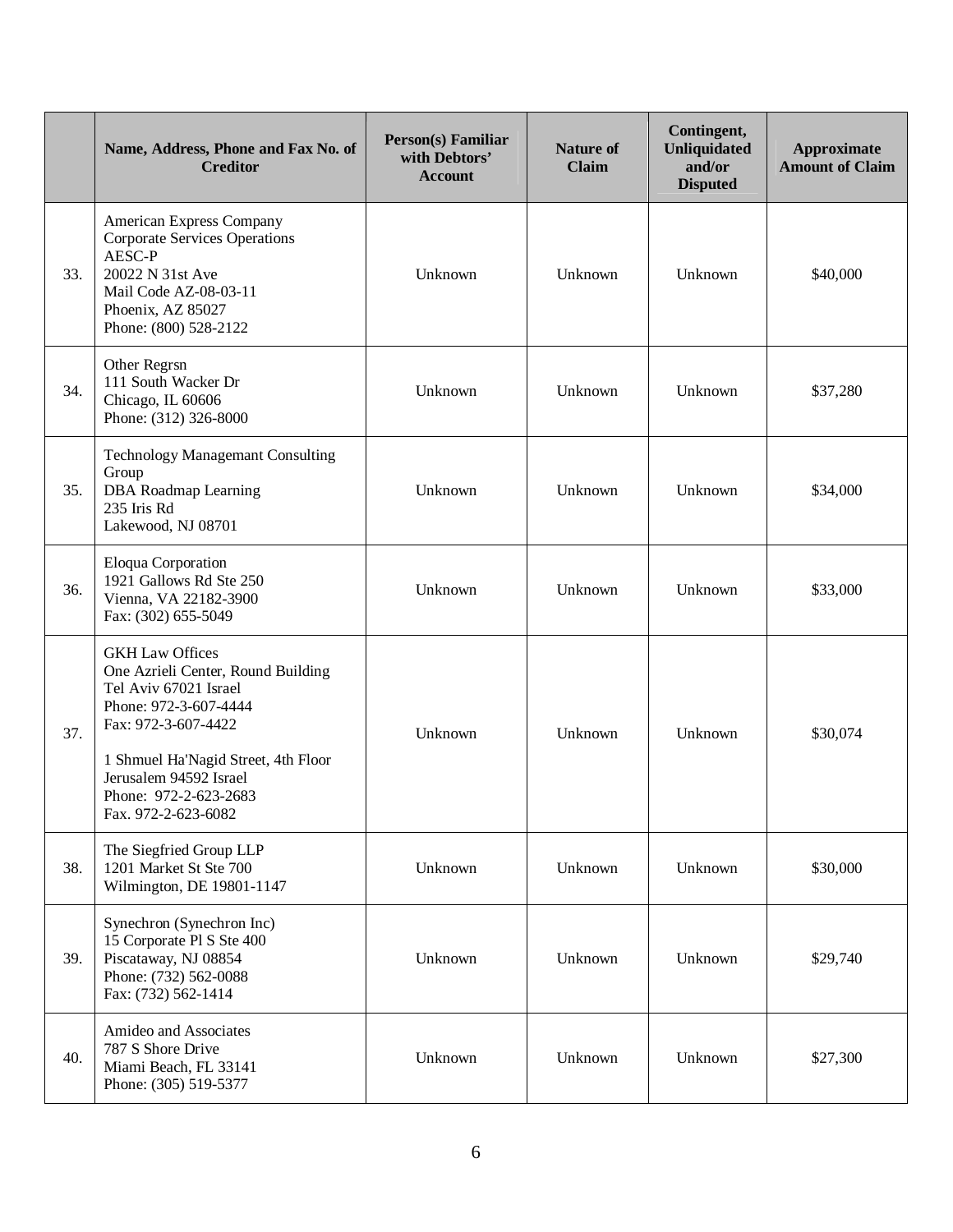|     | Name, Address, Phone and Fax No. of<br><b>Creditor</b>                                                                                                                                                                                                 | <b>Person(s) Familiar</b><br>with Debtors'<br><b>Account</b> | <b>Nature of</b><br><b>Claim</b> | Contingent,<br><b>Unliquidated</b><br>and/or<br><b>Disputed</b> | <b>Approximate</b><br><b>Amount of Claim</b> |
|-----|--------------------------------------------------------------------------------------------------------------------------------------------------------------------------------------------------------------------------------------------------------|--------------------------------------------------------------|----------------------------------|-----------------------------------------------------------------|----------------------------------------------|
| 33. | American Express Company<br><b>Corporate Services Operations</b><br>AESC-P<br>20022 N 31st Ave<br>Mail Code AZ-08-03-11<br>Phoenix, AZ 85027<br>Phone: (800) 528-2122                                                                                  | Unknown                                                      | Unknown                          | Unknown                                                         | \$40,000                                     |
| 34. | Other Regrsn<br>111 South Wacker Dr<br>Chicago, IL 60606<br>Phone: (312) 326-8000                                                                                                                                                                      | Unknown                                                      | Unknown                          | Unknown                                                         | \$37,280                                     |
| 35. | <b>Technology Managemant Consulting</b><br>Group<br><b>DBA</b> Roadmap Learning<br>235 Iris Rd<br>Lakewood, NJ 08701                                                                                                                                   | Unknown                                                      | Unknown                          | Unknown                                                         | \$34,000                                     |
| 36. | Eloqua Corporation<br>1921 Gallows Rd Ste 250<br>Vienna, VA 22182-3900<br>Fax: (302) 655-5049                                                                                                                                                          | Unknown                                                      | Unknown                          | Unknown                                                         | \$33,000                                     |
| 37. | <b>GKH Law Offices</b><br>One Azrieli Center, Round Building<br>Tel Aviv 67021 Israel<br>Phone: 972-3-607-4444<br>Fax: 972-3-607-4422<br>1 Shmuel Ha'Nagid Street, 4th Floor<br>Jerusalem 94592 Israel<br>Phone: 972-2-623-2683<br>Fax. 972-2-623-6082 | Unknown                                                      | Unknown                          | Unknown                                                         | \$30,074                                     |
| 38. | The Siegfried Group LLP<br>1201 Market St Ste 700<br>Wilmington, DE 19801-1147                                                                                                                                                                         | Unknown                                                      | Unknown                          | Unknown                                                         | \$30,000                                     |
| 39. | Synechron (Synechron Inc)<br>15 Corporate Pl S Ste 400<br>Piscataway, NJ 08854<br>Phone: (732) 562-0088<br>Fax: (732) 562-1414                                                                                                                         | Unknown                                                      | Unknown                          | Unknown                                                         | \$29,740                                     |
| 40. | Amideo and Associates<br>787 S Shore Drive<br>Miami Beach, FL 33141<br>Phone: (305) 519-5377                                                                                                                                                           | Unknown                                                      | Unknown                          | Unknown                                                         | \$27,300                                     |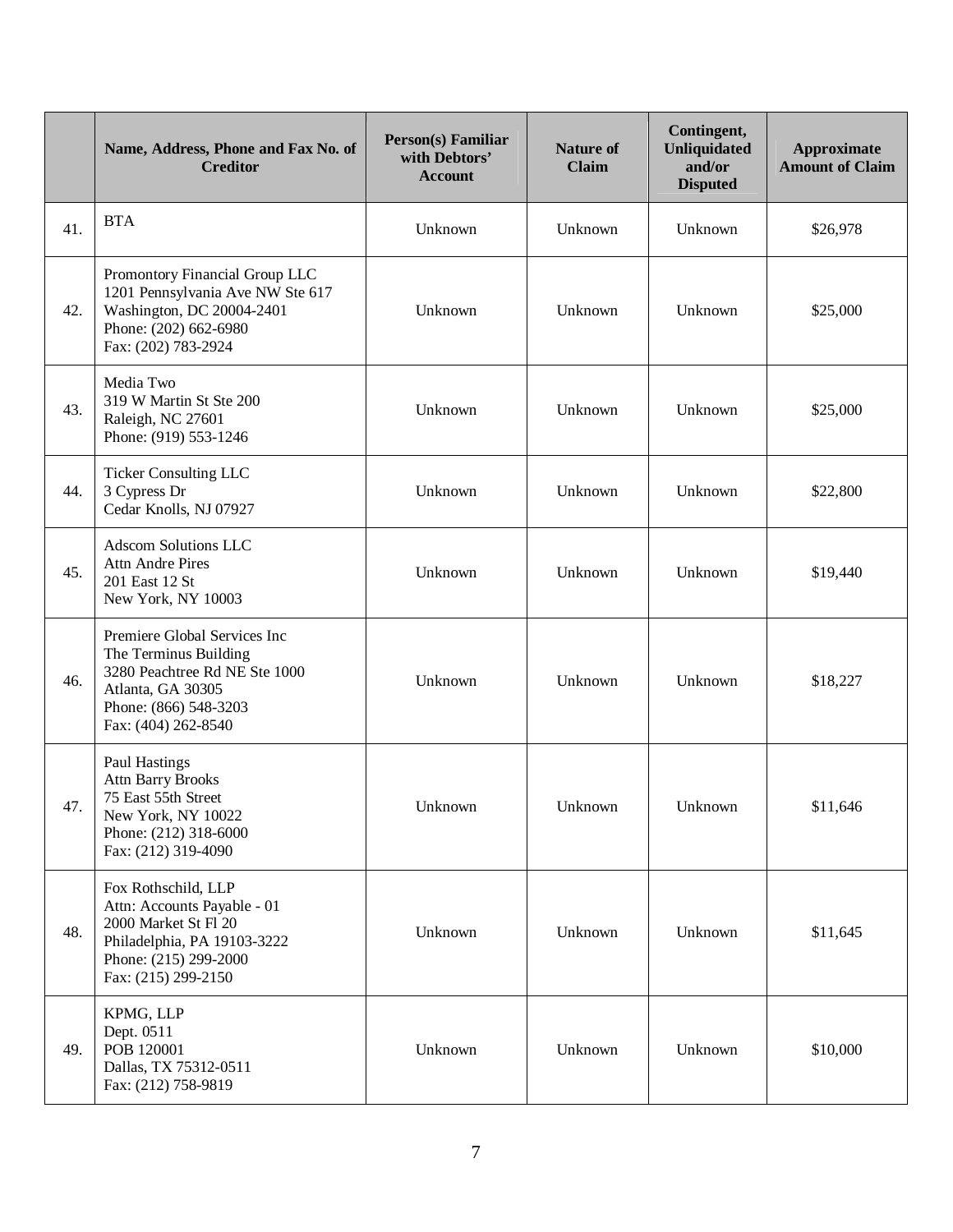|     | Name, Address, Phone and Fax No. of<br><b>Creditor</b>                                                                                                      | <b>Person(s) Familiar</b><br>with Debtors'<br><b>Account</b> | <b>Nature of</b><br><b>Claim</b> | Contingent,<br><b>Unliquidated</b><br>and/or<br><b>Disputed</b> | <b>Approximate</b><br><b>Amount of Claim</b> |
|-----|-------------------------------------------------------------------------------------------------------------------------------------------------------------|--------------------------------------------------------------|----------------------------------|-----------------------------------------------------------------|----------------------------------------------|
| 41. | <b>BTA</b>                                                                                                                                                  | Unknown                                                      | Unknown                          | Unknown                                                         | \$26,978                                     |
| 42. | Promontory Financial Group LLC<br>1201 Pennsylvania Ave NW Ste 617<br>Washington, DC 20004-2401<br>Phone: (202) 662-6980<br>Fax: (202) 783-2924             | Unknown                                                      | Unknown                          | Unknown                                                         | \$25,000                                     |
| 43. | Media Two<br>319 W Martin St Ste 200<br>Raleigh, NC 27601<br>Phone: (919) 553-1246                                                                          | Unknown                                                      | Unknown                          | Unknown                                                         | \$25,000                                     |
| 44. | <b>Ticker Consulting LLC</b><br>3 Cypress Dr<br>Cedar Knolls, NJ 07927                                                                                      | Unknown                                                      | Unknown                          | Unknown                                                         | \$22,800                                     |
| 45. | <b>Adscom Solutions LLC</b><br><b>Attn Andre Pires</b><br>201 East 12 St<br>New York, NY 10003                                                              | Unknown                                                      | Unknown                          | Unknown                                                         | \$19,440                                     |
| 46. | Premiere Global Services Inc<br>The Terminus Building<br>3280 Peachtree Rd NE Ste 1000<br>Atlanta, GA 30305<br>Phone: (866) 548-3203<br>Fax: (404) 262-8540 | Unknown                                                      | Unknown                          | Unknown                                                         | \$18,227                                     |
| 47. | <b>Paul Hastings</b><br><b>Attn Barry Brooks</b><br>75 East 55th Street<br>New York, NY 10022<br>Phone: (212) 318-6000<br>Fax: (212) 319-4090               | Unknown                                                      | Unknown                          | Unknown                                                         | \$11,646                                     |
| 48. | Fox Rothschild, LLP<br>Attn: Accounts Payable - 01<br>2000 Market St Fl 20<br>Philadelphia, PA 19103-3222<br>Phone: (215) 299-2000<br>Fax: (215) 299-2150   | Unknown                                                      | Unknown                          | Unknown                                                         | \$11,645                                     |
| 49. | KPMG, LLP<br>Dept. 0511<br>POB 120001<br>Dallas, TX 75312-0511<br>Fax: (212) 758-9819                                                                       | Unknown                                                      | Unknown                          | Unknown                                                         | \$10,000                                     |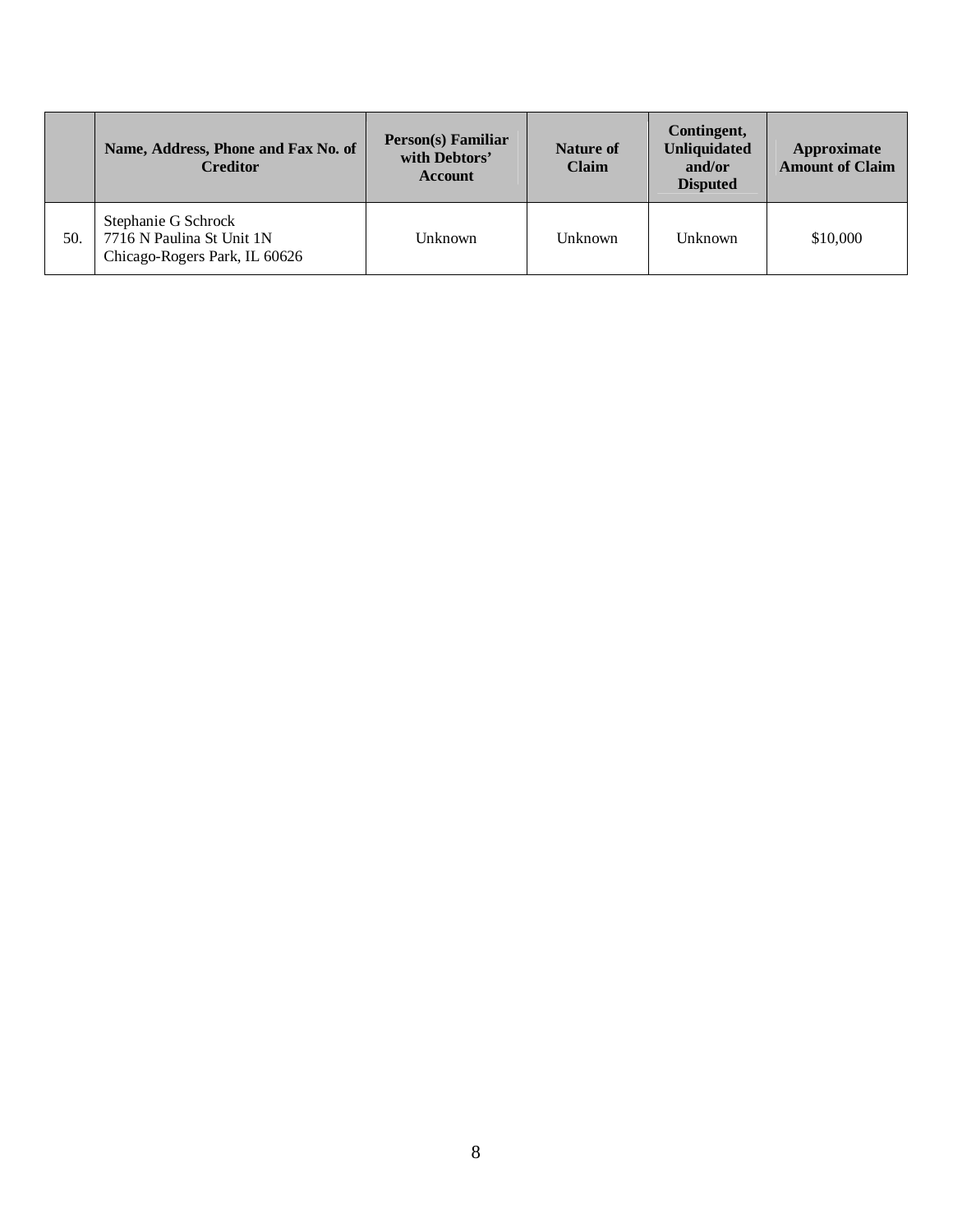|     | Name, Address, Phone and Fax No. of<br><b>Creditor</b>                            | Person(s) Familiar<br>with Debtors'<br><b>Account</b> | Nature of<br><b>Claim</b> | Contingent,<br><b>Unliquidated</b><br>and/or<br><b>Disputed</b> | Approximate<br><b>Amount of Claim</b> |
|-----|-----------------------------------------------------------------------------------|-------------------------------------------------------|---------------------------|-----------------------------------------------------------------|---------------------------------------|
| 50. | Stephanie G Schrock<br>7716 N Paulina St Unit 1N<br>Chicago-Rogers Park, IL 60626 | Unknown                                               | Unknown                   | Unknown                                                         | \$10,000                              |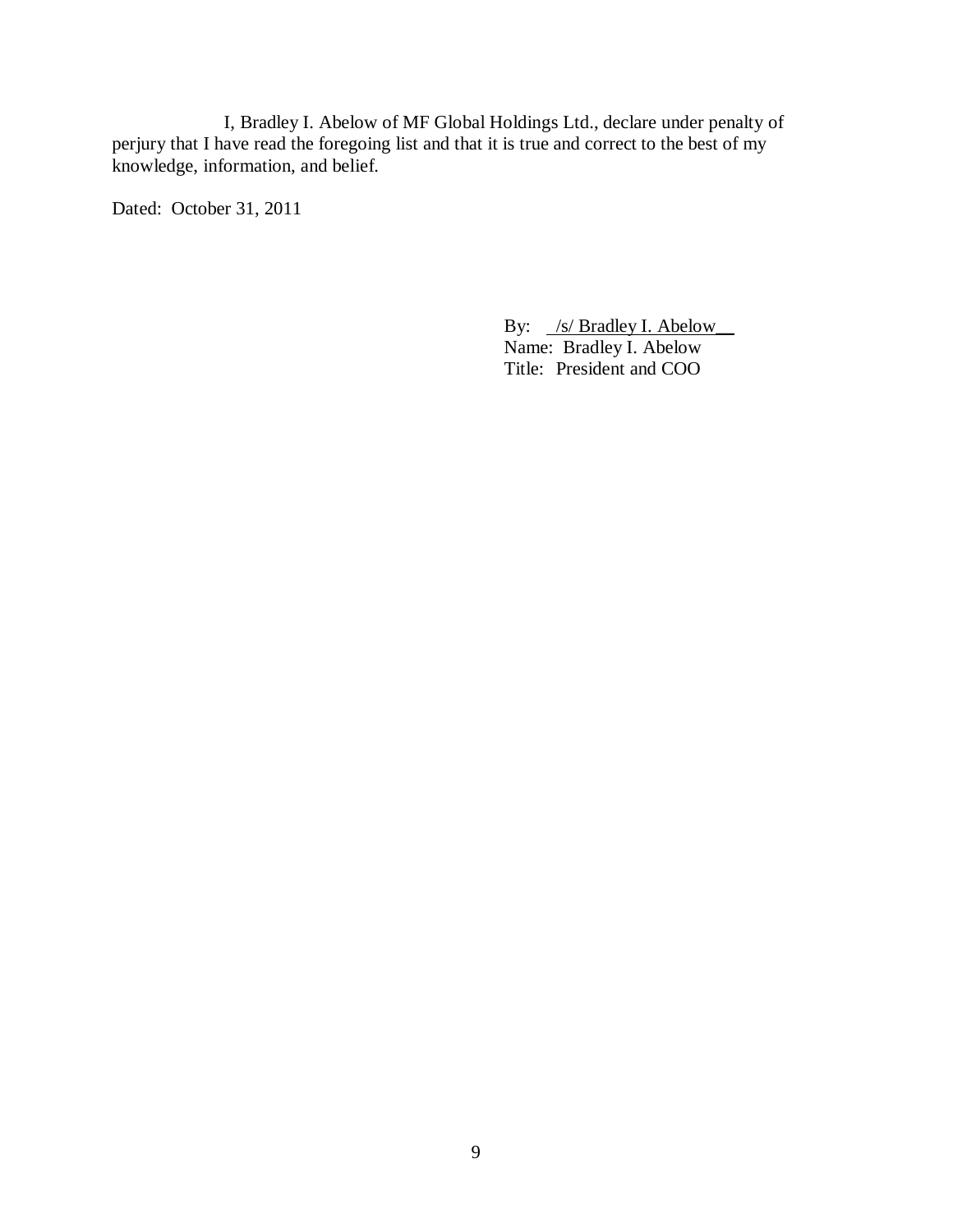I, Bradley I. Abelow of MF Global Holdings Ltd., declare under penalty of perjury that I have read the foregoing list and that it is true and correct to the best of my knowledge, information, and belief.

Dated: October 31, 2011

By: <u>/s/ Bradley I. Abelow</u> Name: Bradley I. Abelow Title: President and COO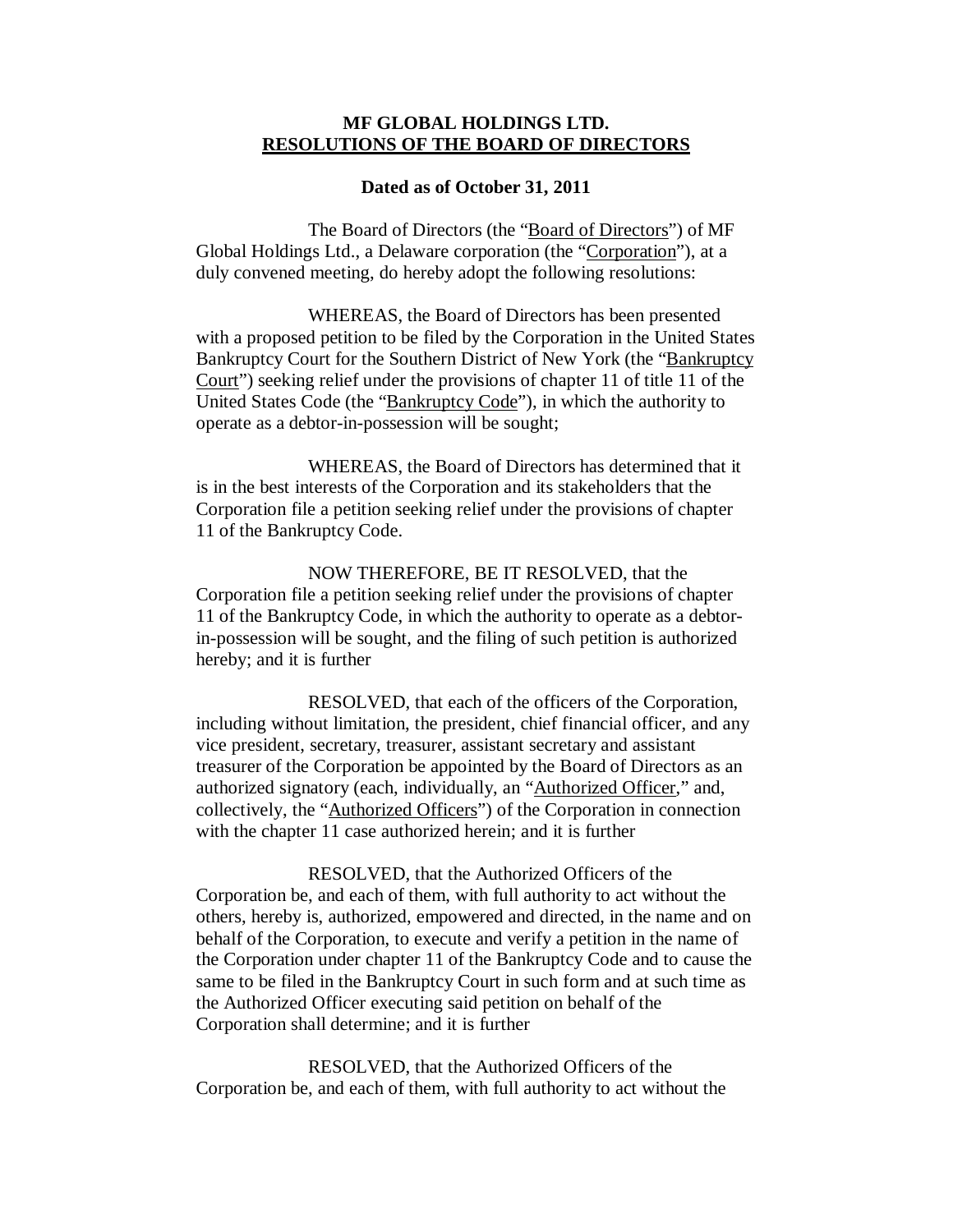### **MF GLOBAL HOLDINGS LTD. RESOLUTIONS OF THE BOARD OF DIRECTORS**

#### **Dated as of October 31, 2011**

The Board of Directors (the "Board of Directors") of MF Global Holdings Ltd., a Delaware corporation (the "Corporation"), at a duly convened meeting, do hereby adopt the following resolutions:

WHEREAS, the Board of Directors has been presented with a proposed petition to be filed by the Corporation in the United States Bankruptcy Court for the Southern District of New York (the "Bankruptcy Court") seeking relief under the provisions of chapter 11 of title 11 of the United States Code (the "Bankruptcy Code"), in which the authority to operate as a debtor-in-possession will be sought;

WHEREAS, the Board of Directors has determined that it is in the best interests of the Corporation and its stakeholders that the Corporation file a petition seeking relief under the provisions of chapter 11 of the Bankruptcy Code.

NOW THEREFORE, BE IT RESOLVED, that the Corporation file a petition seeking relief under the provisions of chapter 11 of the Bankruptcy Code, in which the authority to operate as a debtorin-possession will be sought, and the filing of such petition is authorized hereby; and it is further

RESOLVED, that each of the officers of the Corporation, including without limitation, the president, chief financial officer, and any vice president, secretary, treasurer, assistant secretary and assistant treasurer of the Corporation be appointed by the Board of Directors as an authorized signatory (each, individually, an "Authorized Officer," and, collectively, the "Authorized Officers") of the Corporation in connection with the chapter 11 case authorized herein; and it is further

RESOLVED, that the Authorized Officers of the Corporation be, and each of them, with full authority to act without the others, hereby is, authorized, empowered and directed, in the name and on behalf of the Corporation, to execute and verify a petition in the name of the Corporation under chapter 11 of the Bankruptcy Code and to cause the same to be filed in the Bankruptcy Court in such form and at such time as the Authorized Officer executing said petition on behalf of the Corporation shall determine; and it is further

RESOLVED, that the Authorized Officers of the Corporation be, and each of them, with full authority to act without the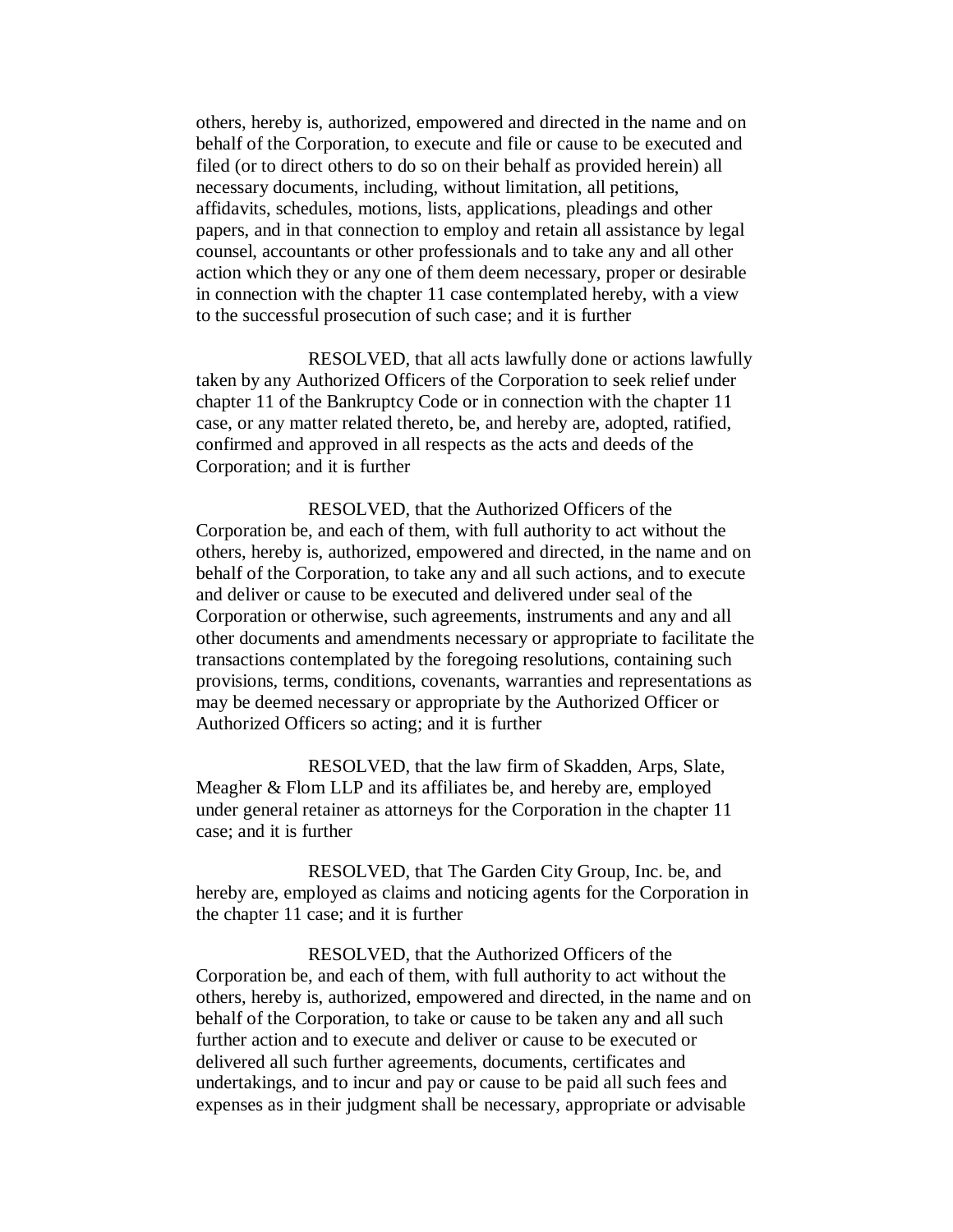others, hereby is, authorized, empowered and directed in the name and on behalf of the Corporation, to execute and file or cause to be executed and filed (or to direct others to do so on their behalf as provided herein) all necessary documents, including, without limitation, all petitions, affidavits, schedules, motions, lists, applications, pleadings and other papers, and in that connection to employ and retain all assistance by legal counsel, accountants or other professionals and to take any and all other action which they or any one of them deem necessary, proper or desirable in connection with the chapter 11 case contemplated hereby, with a view to the successful prosecution of such case; and it is further

RESOLVED, that all acts lawfully done or actions lawfully taken by any Authorized Officers of the Corporation to seek relief under chapter 11 of the Bankruptcy Code or in connection with the chapter 11 case, or any matter related thereto, be, and hereby are, adopted, ratified, confirmed and approved in all respects as the acts and deeds of the Corporation; and it is further

RESOLVED, that the Authorized Officers of the Corporation be, and each of them, with full authority to act without the others, hereby is, authorized, empowered and directed, in the name and on behalf of the Corporation, to take any and all such actions, and to execute and deliver or cause to be executed and delivered under seal of the Corporation or otherwise, such agreements, instruments and any and all other documents and amendments necessary or appropriate to facilitate the transactions contemplated by the foregoing resolutions, containing such provisions, terms, conditions, covenants, warranties and representations as may be deemed necessary or appropriate by the Authorized Officer or Authorized Officers so acting; and it is further

RESOLVED, that the law firm of Skadden, Arps, Slate, Meagher & Flom LLP and its affiliates be, and hereby are, employed under general retainer as attorneys for the Corporation in the chapter 11 case; and it is further

RESOLVED, that The Garden City Group, Inc. be, and hereby are, employed as claims and noticing agents for the Corporation in the chapter 11 case; and it is further

RESOLVED, that the Authorized Officers of the Corporation be, and each of them, with full authority to act without the others, hereby is, authorized, empowered and directed, in the name and on behalf of the Corporation, to take or cause to be taken any and all such further action and to execute and deliver or cause to be executed or delivered all such further agreements, documents, certificates and undertakings, and to incur and pay or cause to be paid all such fees and expenses as in their judgment shall be necessary, appropriate or advisable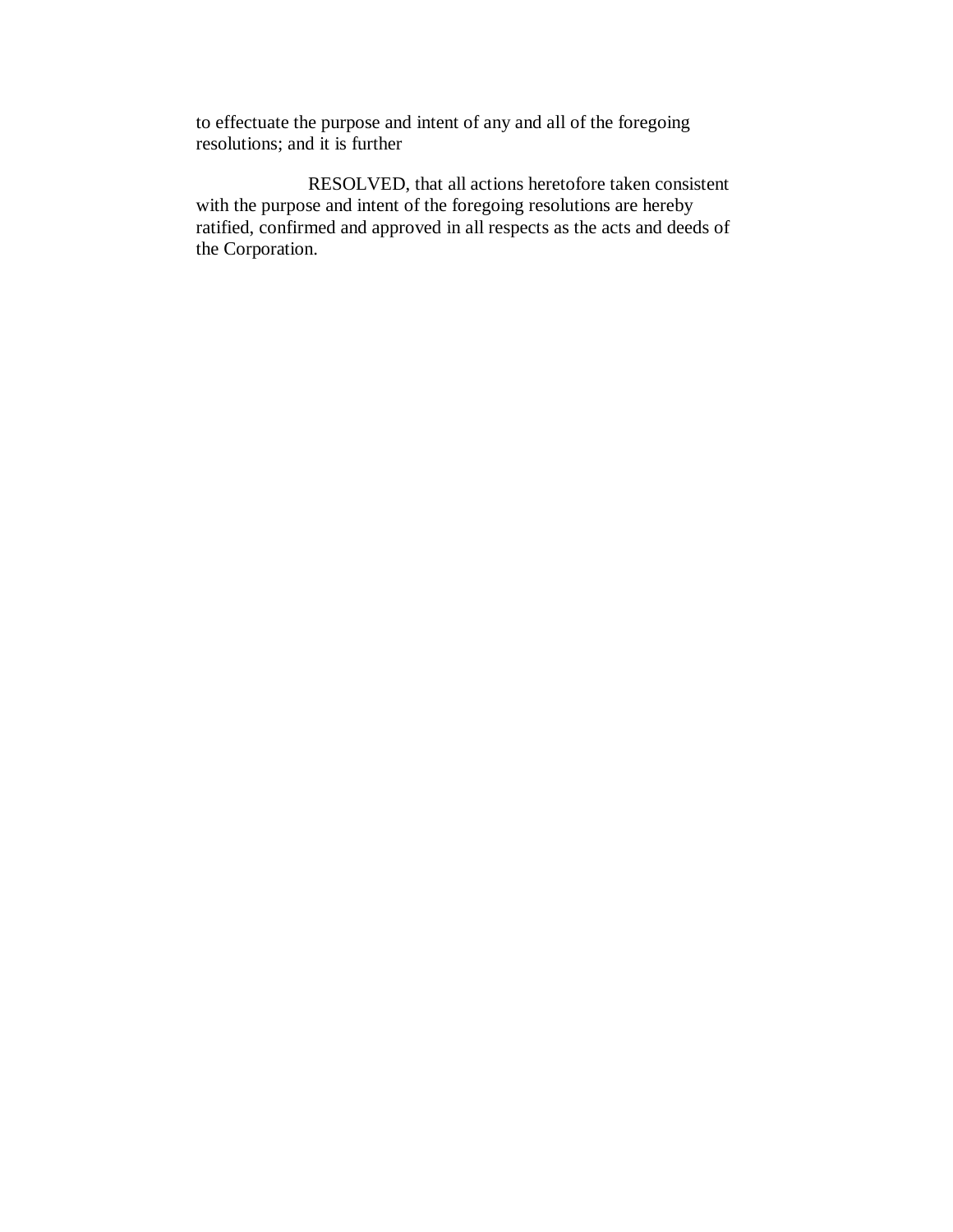to effectuate the purpose and intent of any and all of the foregoing resolutions; and it is further

RESOLVED, that all actions heretofore taken consistent with the purpose and intent of the foregoing resolutions are hereby ratified, confirmed and approved in all respects as the acts and deeds of the Corporation.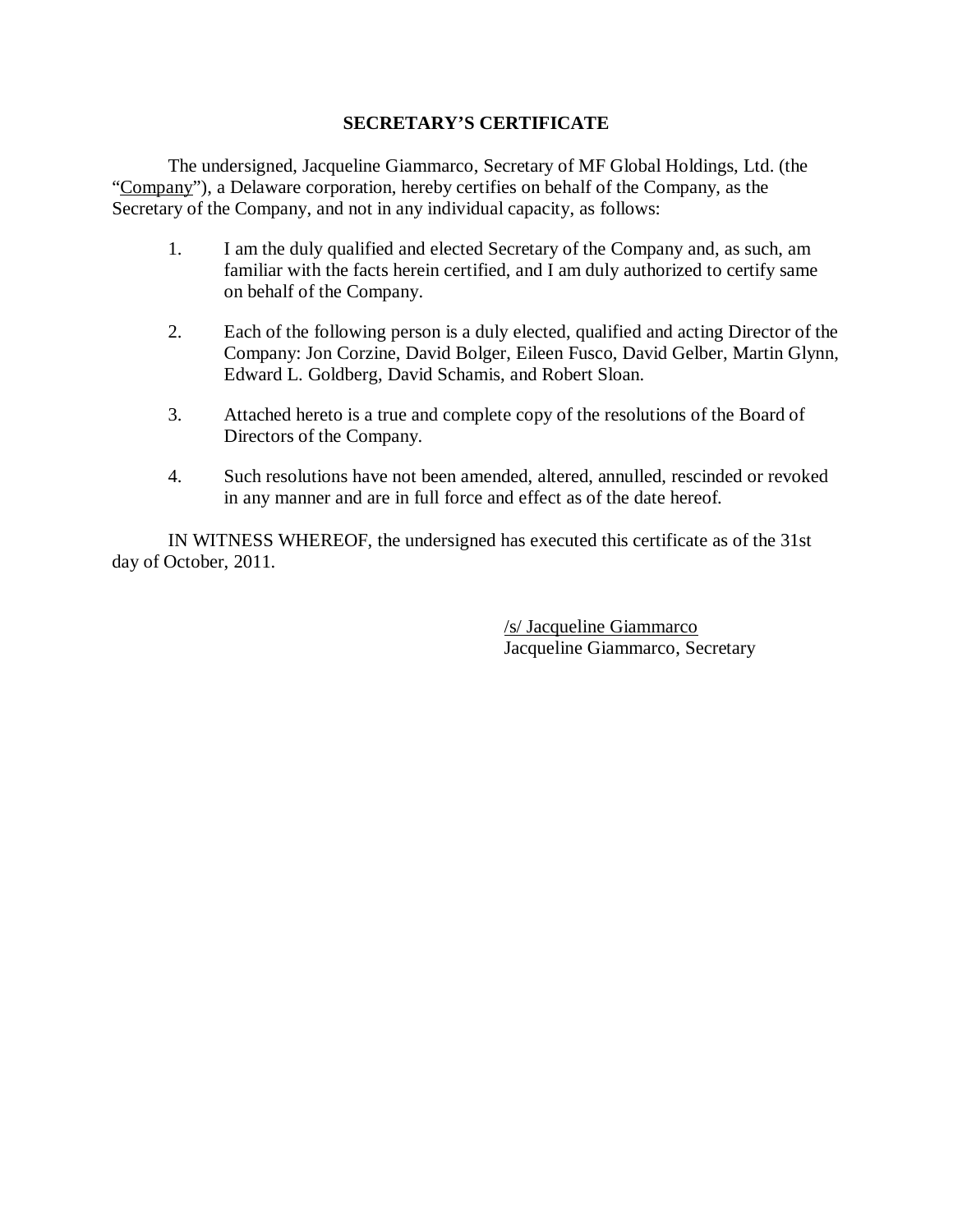### **SECRETARY'S CERTIFICATE**

The undersigned, Jacqueline Giammarco, Secretary of MF Global Holdings, Ltd. (the "Company"), a Delaware corporation, hereby certifies on behalf of the Company, as the Secretary of the Company, and not in any individual capacity, as follows:

- 1. I am the duly qualified and elected Secretary of the Company and, as such, am familiar with the facts herein certified, and I am duly authorized to certify same on behalf of the Company.
- 2. Each of the following person is a duly elected, qualified and acting Director of the Company: Jon Corzine, David Bolger, Eileen Fusco, David Gelber, Martin Glynn, Edward L. Goldberg, David Schamis, and Robert Sloan.
- 3. Attached hereto is a true and complete copy of the resolutions of the Board of Directors of the Company.
- 4. Such resolutions have not been amended, altered, annulled, rescinded or revoked in any manner and are in full force and effect as of the date hereof.

IN WITNESS WHEREOF, the undersigned has executed this certificate as of the 31st day of October, 2011.

> /s/ Jacqueline Giammarco Jacqueline Giammarco, Secretary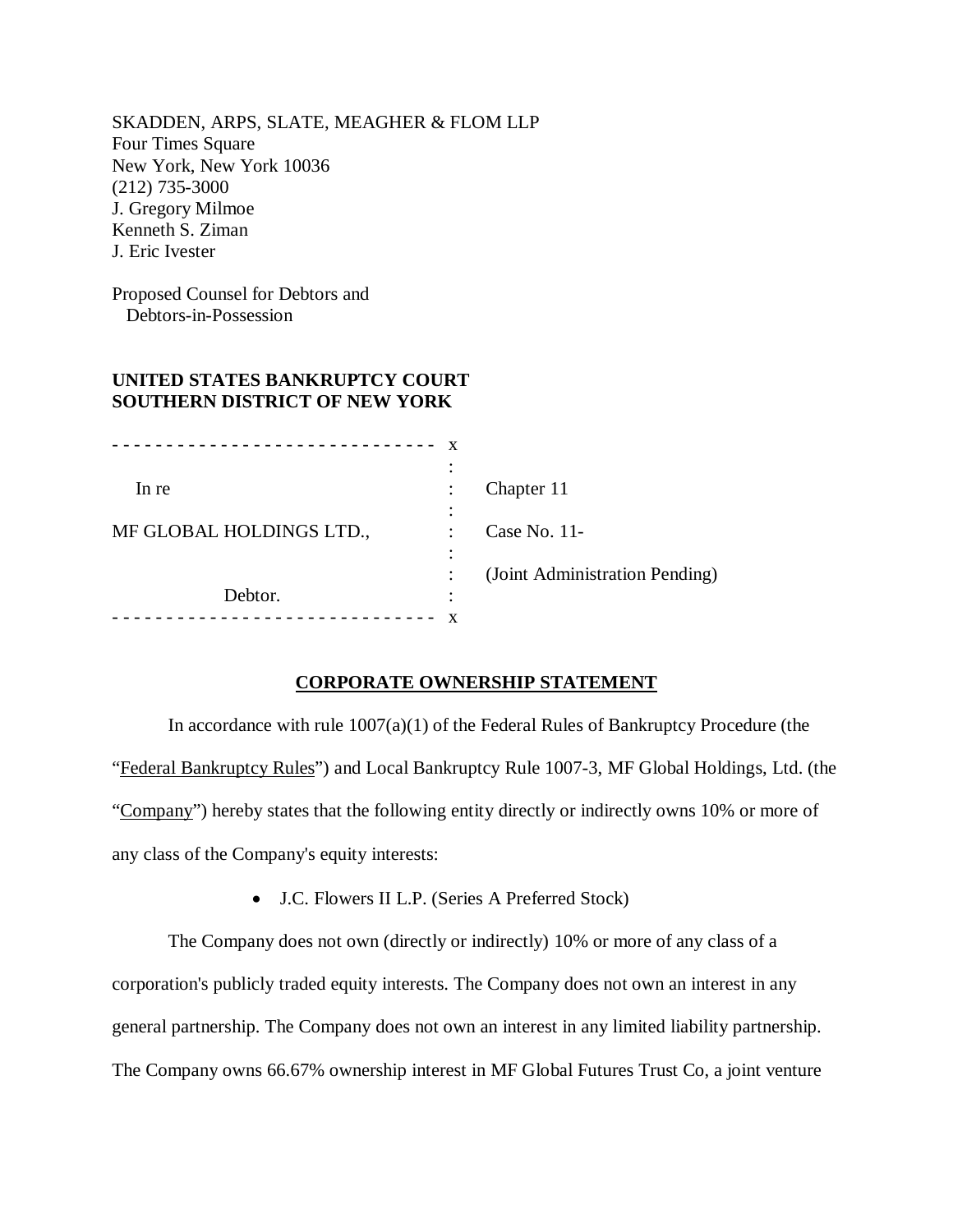SKADDEN, ARPS, SLATE, MEAGHER & FLOM LLP Four Times Square New York, New York 10036 (212) 735-3000 J. Gregory Milmoe Kenneth S. Ziman J. Eric Ivester

Proposed Counsel for Debtors and Debtors-in-Possession

### **UNITED STATES BANKRUPTCY COURT SOUTHERN DISTRICT OF NEW YORK**

|                          | x                   |                                |
|--------------------------|---------------------|--------------------------------|
|                          | ٠                   |                                |
| In re                    |                     | Chapter 11                     |
|                          | ٠<br>٠              |                                |
| MF GLOBAL HOLDINGS LTD., | ٠                   | Case No. 11-                   |
|                          | ٠<br>$\blacksquare$ |                                |
|                          | ٠                   | (Joint Administration Pending) |
| Debtor.                  | ٠                   |                                |
|                          |                     |                                |

#### **CORPORATE OWNERSHIP STATEMENT**

In accordance with rule 1007(a)(1) of the Federal Rules of Bankruptcy Procedure (the "Federal Bankruptcy Rules") and Local Bankruptcy Rule 1007-3, MF Global Holdings, Ltd. (the "Company") hereby states that the following entity directly or indirectly owns 10% or more of any class of the Company's equity interests:

J.C. Flowers II L.P. (Series A Preferred Stock)

The Company does not own (directly or indirectly) 10% or more of any class of a corporation's publicly traded equity interests. The Company does not own an interest in any general partnership. The Company does not own an interest in any limited liability partnership. The Company owns 66.67% ownership interest in MF Global Futures Trust Co, a joint venture